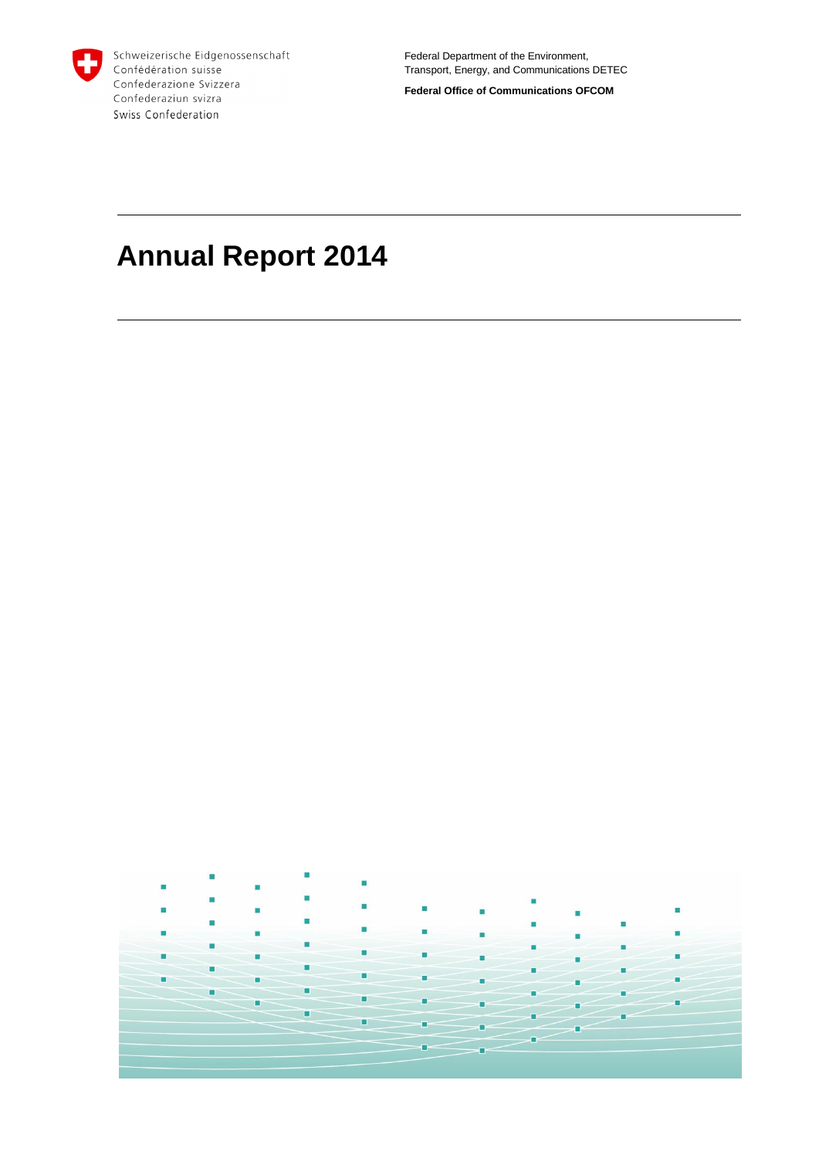

Schweizerische Eidgenossenschaft Confédération suisse Confederazione Svizzera Confederaziun svizra Swiss Confederation

Federal Department of the Environment, Transport, Energy, and Communications DETEC

**Federal Office of Communications OFCOM**

# **Annual Report 2014**

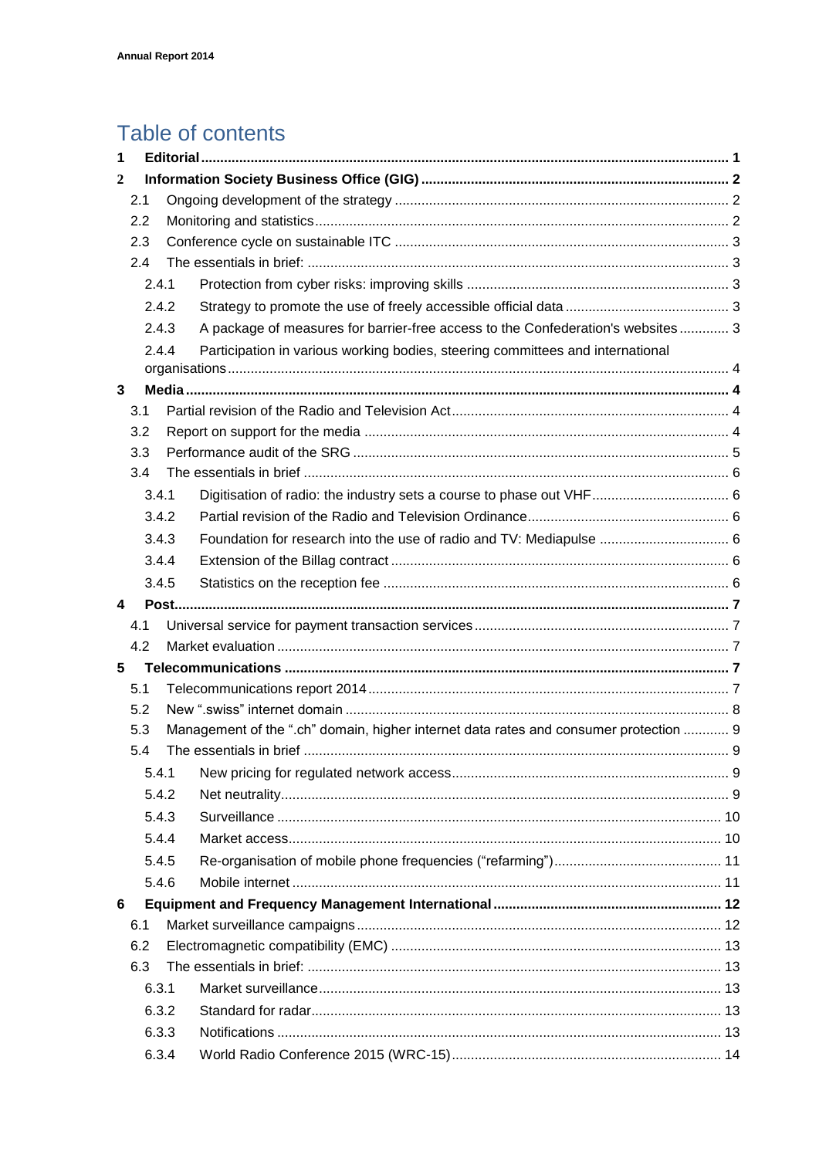# Table of contents

| 1              |       |     |                                                                                       |  |
|----------------|-------|-----|---------------------------------------------------------------------------------------|--|
| $\overline{2}$ |       |     |                                                                                       |  |
|                | 2.1   |     |                                                                                       |  |
|                | 2.2   |     |                                                                                       |  |
|                | 2.3   |     |                                                                                       |  |
|                | 2.4   |     |                                                                                       |  |
|                | 2.4.1 |     |                                                                                       |  |
|                | 2.4.2 |     |                                                                                       |  |
|                | 2.4.3 |     | A package of measures for barrier-free access to the Confederation's websites  3      |  |
|                |       | 244 | Participation in various working bodies, steering committees and international        |  |
| 3              |       |     |                                                                                       |  |
|                | 3.1   |     |                                                                                       |  |
|                | 3.2   |     |                                                                                       |  |
|                | 3.3   |     |                                                                                       |  |
|                | 3.4   |     |                                                                                       |  |
|                | 3.4.1 |     |                                                                                       |  |
|                | 3.4.2 |     |                                                                                       |  |
|                | 3.4.3 |     | Foundation for research into the use of radio and TV: Mediapulse  6                   |  |
|                | 3.4.4 |     |                                                                                       |  |
|                | 3.4.5 |     |                                                                                       |  |
| 4              |       |     |                                                                                       |  |
|                | 4.1   |     |                                                                                       |  |
|                | 4.2   |     |                                                                                       |  |
| 5              |       |     |                                                                                       |  |
|                | 5.1   |     |                                                                                       |  |
|                | 5.2   |     |                                                                                       |  |
|                | 5.3   |     | Management of the ".ch" domain, higher internet data rates and consumer protection  9 |  |
|                | 5.4   |     |                                                                                       |  |
|                | 5.4.1 |     |                                                                                       |  |
|                | 5.4.2 |     |                                                                                       |  |
|                | 5.4.3 |     |                                                                                       |  |
|                | 5.4.4 |     |                                                                                       |  |
|                | 5.4.5 |     |                                                                                       |  |
|                | 5.4.6 |     |                                                                                       |  |
| 6              |       |     |                                                                                       |  |
|                | 6.1   |     |                                                                                       |  |
|                | 6.2   |     |                                                                                       |  |
|                | 6.3   |     |                                                                                       |  |
|                | 6.3.1 |     |                                                                                       |  |
|                | 6.3.2 |     |                                                                                       |  |
|                | 6.3.3 |     |                                                                                       |  |
|                | 6.3.4 |     |                                                                                       |  |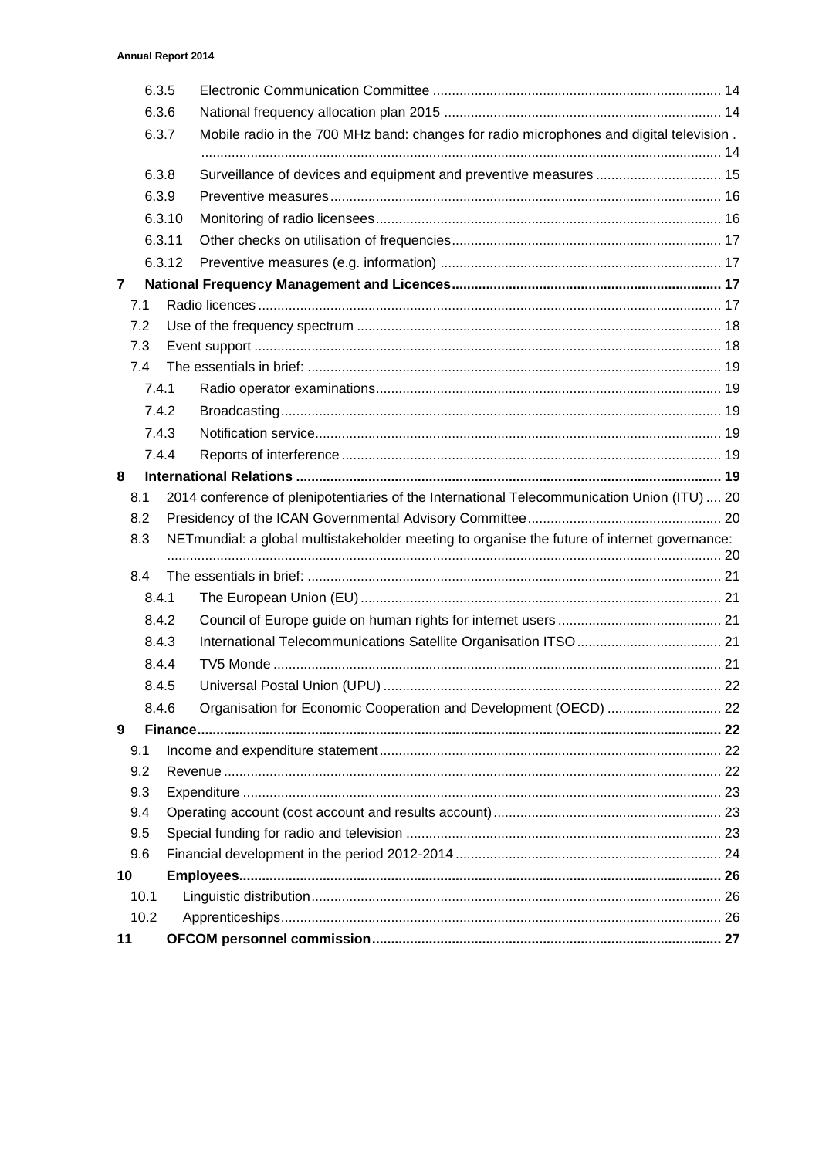|                | 6.3.5 |        |                                                                                              |  |
|----------------|-------|--------|----------------------------------------------------------------------------------------------|--|
|                | 6.3.6 |        |                                                                                              |  |
|                | 6.3.7 |        | Mobile radio in the 700 MHz band: changes for radio microphones and digital television.      |  |
|                | 6.3.8 |        | Surveillance of devices and equipment and preventive measures  15                            |  |
|                | 6.3.9 |        |                                                                                              |  |
|                |       | 6.3.10 |                                                                                              |  |
|                |       | 6.3.11 |                                                                                              |  |
|                |       | 6.3.12 |                                                                                              |  |
| $\overline{7}$ |       |        |                                                                                              |  |
|                | 7.1   |        |                                                                                              |  |
|                | 7.2   |        |                                                                                              |  |
|                | 7.3   |        |                                                                                              |  |
|                | 7.4   |        |                                                                                              |  |
|                | 7.4.1 |        |                                                                                              |  |
|                | 7.4.2 |        |                                                                                              |  |
|                | 7.4.3 |        |                                                                                              |  |
|                | 7.4.4 |        |                                                                                              |  |
| 8              |       |        |                                                                                              |  |
|                | 8.1   |        | 2014 conference of plenipotentiaries of the International Telecommunication Union (ITU)  20  |  |
|                |       |        |                                                                                              |  |
|                | 8.2   |        |                                                                                              |  |
|                | 8.3   |        | NETmundial: a global multistakeholder meeting to organise the future of internet governance: |  |
|                | 8.4   |        |                                                                                              |  |
|                | 8.4.1 |        |                                                                                              |  |
|                | 8.4.2 |        |                                                                                              |  |
|                | 8.4.3 |        |                                                                                              |  |
|                | 8.4.4 |        |                                                                                              |  |
|                | 8.4.5 |        |                                                                                              |  |
|                | 8.4.6 |        |                                                                                              |  |
| 9              |       |        | Organisation for Economic Cooperation and Development (OECD)  22                             |  |
|                | 9.1   |        |                                                                                              |  |
|                | 9.2   |        |                                                                                              |  |
|                | 9.3   |        |                                                                                              |  |
|                | 9.4   |        |                                                                                              |  |
|                | 9.5   |        |                                                                                              |  |
|                | 9.6   |        |                                                                                              |  |
| 10             |       |        |                                                                                              |  |
|                | 10.1  |        |                                                                                              |  |
|                | 10.2  |        |                                                                                              |  |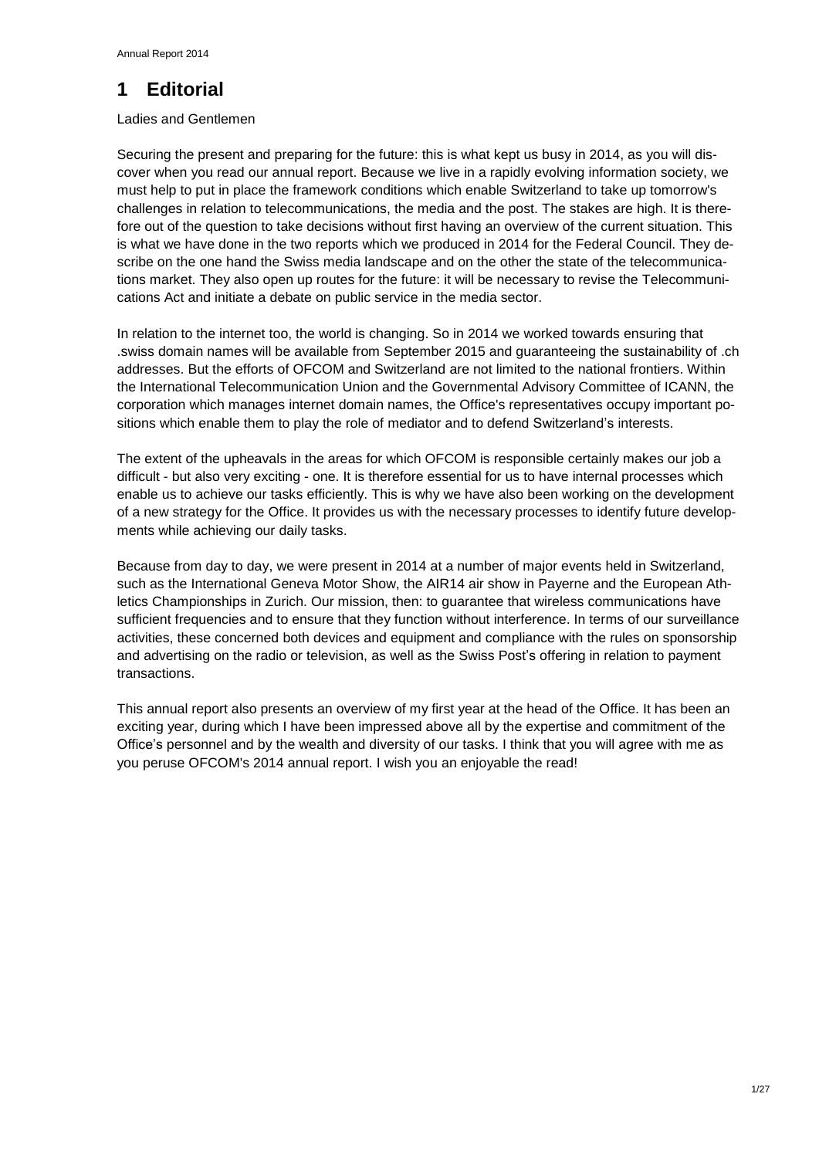## <span id="page-3-0"></span>**1 Editorial**

### Ladies and Gentlemen

Securing the present and preparing for the future: this is what kept us busy in 2014, as you will discover when you read our annual report. Because we live in a rapidly evolving information society, we must help to put in place the framework conditions which enable Switzerland to take up tomorrow's challenges in relation to telecommunications, the media and the post. The stakes are high. It is therefore out of the question to take decisions without first having an overview of the current situation. This is what we have done in the two reports which we produced in 2014 for the Federal Council. They describe on the one hand the Swiss media landscape and on the other the state of the telecommunications market. They also open up routes for the future: it will be necessary to revise the Telecommunications Act and initiate a debate on public service in the media sector.

In relation to the internet too, the world is changing. So in 2014 we worked towards ensuring that .swiss domain names will be available from September 2015 and guaranteeing the sustainability of .ch addresses. But the efforts of OFCOM and Switzerland are not limited to the national frontiers. Within the International Telecommunication Union and the Governmental Advisory Committee of ICANN, the corporation which manages internet domain names, the Office's representatives occupy important positions which enable them to play the role of mediator and to defend Switzerland's interests.

The extent of the upheavals in the areas for which OFCOM is responsible certainly makes our job a difficult - but also very exciting - one. It is therefore essential for us to have internal processes which enable us to achieve our tasks efficiently. This is why we have also been working on the development of a new strategy for the Office. It provides us with the necessary processes to identify future developments while achieving our daily tasks.

Because from day to day, we were present in 2014 at a number of major events held in Switzerland, such as the International Geneva Motor Show, the AIR14 air show in Payerne and the European Athletics Championships in Zurich. Our mission, then: to guarantee that wireless communications have sufficient frequencies and to ensure that they function without interference. In terms of our surveillance activities, these concerned both devices and equipment and compliance with the rules on sponsorship and advertising on the radio or television, as well as the Swiss Post's offering in relation to payment transactions.

This annual report also presents an overview of my first year at the head of the Office. It has been an exciting year, during which I have been impressed above all by the expertise and commitment of the Office's personnel and by the wealth and diversity of our tasks. I think that you will agree with me as you peruse OFCOM's 2014 annual report. I wish you an enjoyable the read!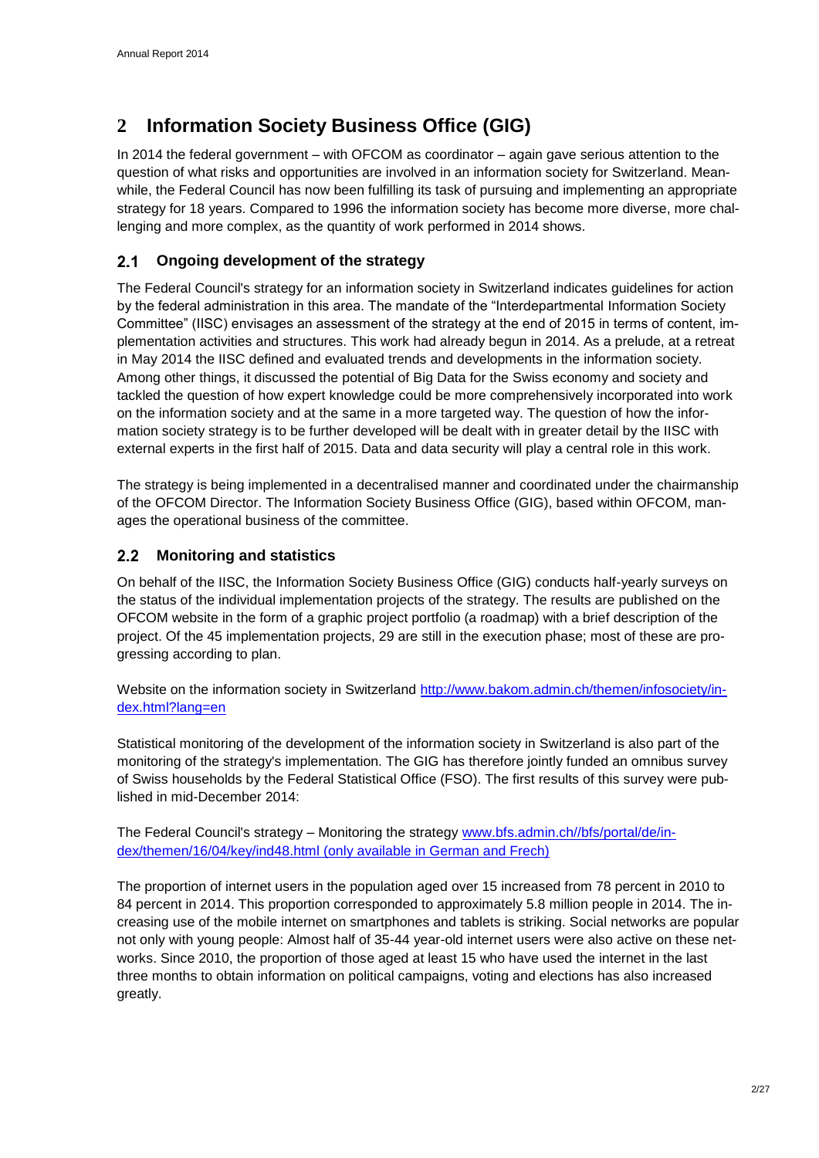## <span id="page-4-0"></span>**2 Information Society Business Office (GIG)**

In 2014 the federal government – with OFCOM as coordinator – again gave serious attention to the question of what risks and opportunities are involved in an information society for Switzerland. Meanwhile, the Federal Council has now been fulfilling its task of pursuing and implementing an appropriate strategy for 18 years. Compared to 1996 the information society has become more diverse, more challenging and more complex, as the quantity of work performed in 2014 shows.

#### <span id="page-4-1"></span> $2.1$ **Ongoing development of the strategy**

The Federal Council's strategy for an information society in Switzerland indicates guidelines for action by the federal administration in this area. The mandate of the "Interdepartmental Information Society Committee" (IISC) envisages an assessment of the strategy at the end of 2015 in terms of content, implementation activities and structures. This work had already begun in 2014. As a prelude, at a retreat in May 2014 the IISC defined and evaluated trends and developments in the information society. Among other things, it discussed the potential of Big Data for the Swiss economy and society and tackled the question of how expert knowledge could be more comprehensively incorporated into work on the information society and at the same in a more targeted way. The question of how the information society strategy is to be further developed will be dealt with in greater detail by the IISC with external experts in the first half of 2015. Data and data security will play a central role in this work.

The strategy is being implemented in a decentralised manner and coordinated under the chairmanship of the OFCOM Director. The Information Society Business Office (GIG), based within OFCOM, manages the operational business of the committee.

#### <span id="page-4-2"></span> $2.2$ **Monitoring and statistics**

On behalf of the IISC, the Information Society Business Office (GIG) conducts half-yearly surveys on the status of the individual implementation projects of the strategy. The results are published on the OFCOM website in the form of a graphic project portfolio (a roadmap) with a brief description of the project. Of the 45 implementation projects, 29 are still in the execution phase; most of these are progressing according to plan.

Website on the information society in Switzerland [http://www.bakom.admin.ch/themen/infosociety/in](http://www.bakom.admin.ch/themen/infosociety/index.html?lang=en)[dex.html?lang=en](http://www.bakom.admin.ch/themen/infosociety/index.html?lang=en)

Statistical monitoring of the development of the information society in Switzerland is also part of the monitoring of the strategy's implementation. The GIG has therefore jointly funded an omnibus survey of Swiss households by the Federal Statistical Office (FSO). The first results of this survey were published in mid-December 2014:

The Federal Council's strategy – Monitoring the strategy [www.bfs.admin.ch//bfs/portal/de/in](http://www.bfs.admin.ch/bfs/portal/de/index/themen/16/04/key/ind48.html)[dex/themen/16/04/key/ind48.html](http://www.bfs.admin.ch/bfs/portal/de/index/themen/16/04/key/ind48.html) (only available in German and Frech)

The proportion of internet users in the population aged over 15 increased from 78 percent in 2010 to 84 percent in 2014. This proportion corresponded to approximately 5.8 million people in 2014. The increasing use of the mobile internet on smartphones and tablets is striking. Social networks are popular not only with young people: Almost half of 35-44 year-old internet users were also active on these networks. Since 2010, the proportion of those aged at least 15 who have used the internet in the last three months to obtain information on political campaigns, voting and elections has also increased greatly.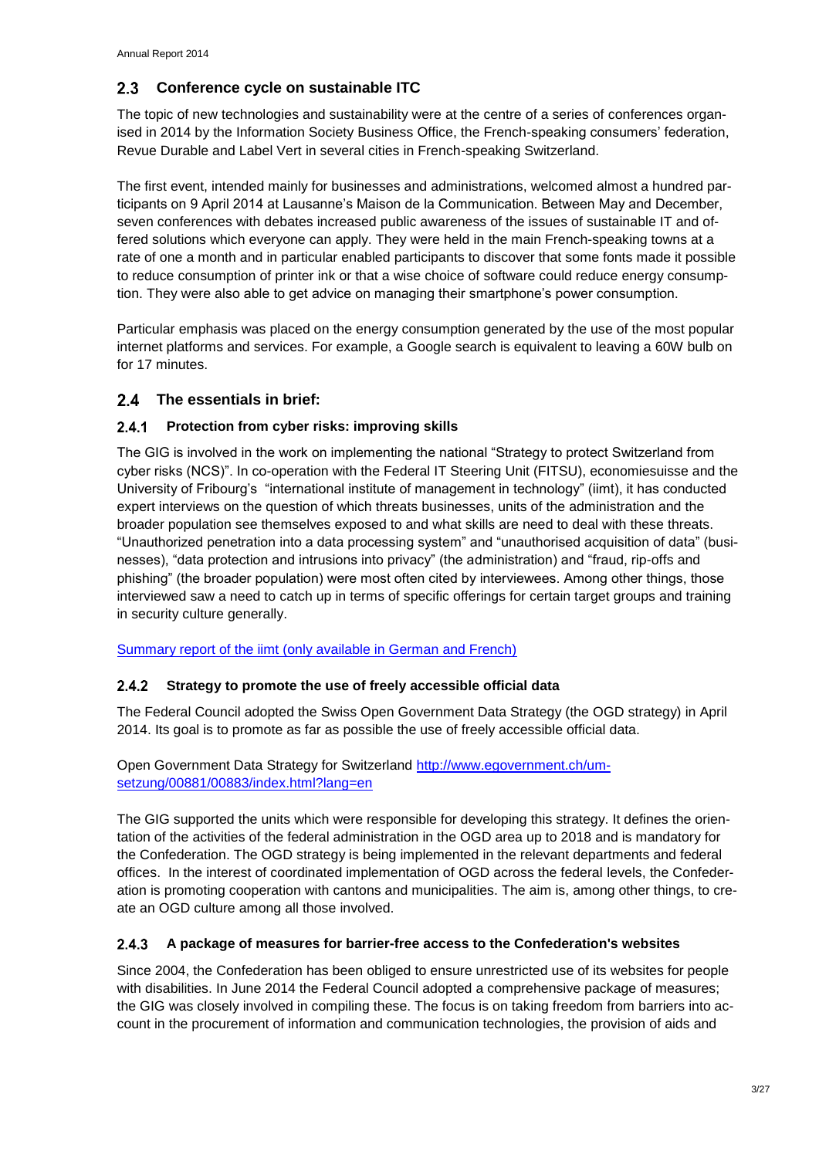#### <span id="page-5-0"></span> $2.3$ **Conference cycle on sustainable ITC**

The topic of new technologies and sustainability were at the centre of a series of conferences organised in 2014 by the Information Society Business Office, the French-speaking consumers' federation, Revue Durable and Label Vert in several cities in French-speaking Switzerland.

The first event, intended mainly for businesses and administrations, welcomed almost a hundred participants on 9 April 2014 at Lausanne's Maison de la Communication. Between May and December, seven conferences with debates increased public awareness of the issues of sustainable IT and offered solutions which everyone can apply. They were held in the main French-speaking towns at a rate of one a month and in particular enabled participants to discover that some fonts made it possible to reduce consumption of printer ink or that a wise choice of software could reduce energy consumption. They were also able to get advice on managing their smartphone's power consumption.

Particular emphasis was placed on the energy consumption generated by the use of the most popular internet platforms and services. For example, a Google search is equivalent to leaving a 60W bulb on for 17 minutes.

### <span id="page-5-1"></span>**The essentials in brief:**

#### <span id="page-5-2"></span> $2.4.1$ **Protection from cyber risks: improving skills**

The GIG is involved in the work on implementing the national "Strategy to protect Switzerland from cyber risks (NCS)". In co-operation with the Federal IT Steering Unit (FITSU), economiesuisse and the University of Fribourg's "international institute of management in technology" (iimt), it has conducted expert interviews on the question of which threats businesses, units of the administration and the broader population see themselves exposed to and what skills are need to deal with these threats. "Unauthorized penetration into a data processing system" and "unauthorised acquisition of data" (businesses), "data protection and intrusions into privacy" (the administration) and "fraud, rip-offs and phishing" (the broader population) were most often cited by interviewees. Among other things, those interviewed saw a need to catch up in terms of specific offerings for certain target groups and training in security culture generally.

[Summary report of the iimt \(only available in German and French\)](http://www.bakom.admin.ch/themen/infosociety/04837/index.html?lang=de&download=NHzLpZeg7t,lnp6I0NTU042l2Z6ln1acy4Zn4Z2qZpnO2Yuq2Z6gpJCDfYB4gmym162epYbg2c_JjKbNoKSn6A--)

#### <span id="page-5-3"></span> $2.4.2$ **Strategy to promote the use of freely accessible official data**

The Federal Council adopted the Swiss Open Government Data Strategy (the OGD strategy) in April 2014. Its goal is to promote as far as possible the use of freely accessible official data.

Open Government Data Strategy for Switzerland [http://www.egovernment.ch/um](http://www.egovernment.ch/umsetzung/00881/00883/index.html?lang=en)[setzung/00881/00883/index.html?lang=en](http://www.egovernment.ch/umsetzung/00881/00883/index.html?lang=en)

The GIG supported the units which were responsible for developing this strategy. It defines the orientation of the activities of the federal administration in the OGD area up to 2018 and is mandatory for the Confederation. The OGD strategy is being implemented in the relevant departments and federal offices. In the interest of coordinated implementation of OGD across the federal levels, the Confederation is promoting cooperation with cantons and municipalities. The aim is, among other things, to create an OGD culture among all those involved.

#### <span id="page-5-4"></span> $2.4.3$ **A package of measures for barrier-free access to the Confederation's websites**

Since 2004, the Confederation has been obliged to ensure unrestricted use of its websites for people with disabilities. In June 2014 the Federal Council adopted a comprehensive package of measures; the GIG was closely involved in compiling these. The focus is on taking freedom from barriers into account in the procurement of information and communication technologies, the provision of aids and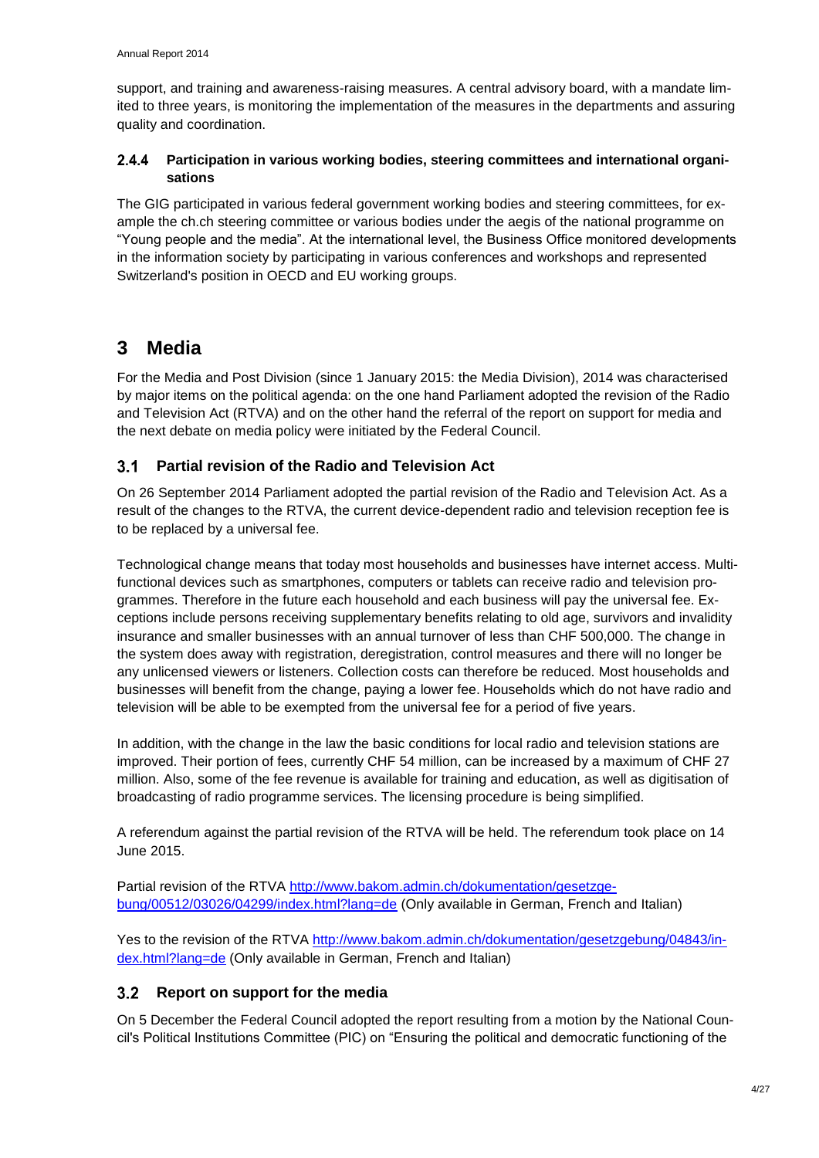support, and training and awareness-raising measures. A central advisory board, with a mandate limited to three years, is monitoring the implementation of the measures in the departments and assuring quality and coordination.

#### <span id="page-6-0"></span> $2.4.4$ **Participation in various working bodies, steering committees and international organisations**

The GIG participated in various federal government working bodies and steering committees, for example the ch.ch steering committee or various bodies under the aegis of the national programme on "Young people and the media". At the international level, the Business Office monitored developments in the information society by participating in various conferences and workshops and represented Switzerland's position in OECD and EU working groups.

## <span id="page-6-1"></span>**3 Media**

For the Media and Post Division (since 1 January 2015: the Media Division), 2014 was characterised by major items on the political agenda: on the one hand Parliament adopted the revision of the Radio and Television Act (RTVA) and on the other hand the referral of the report on support for media and the next debate on media policy were initiated by the Federal Council.

#### <span id="page-6-2"></span> $3.1$ **Partial revision of the Radio and Television Act**

On 26 September 2014 Parliament adopted the partial revision of the Radio and Television Act. As a result of the changes to the RTVA, the current device-dependent radio and television reception fee is to be replaced by a universal fee.

Technological change means that today most households and businesses have internet access. Multifunctional devices such as smartphones, computers or tablets can receive radio and television programmes. Therefore in the future each household and each business will pay the universal fee. Exceptions include persons receiving supplementary benefits relating to old age, survivors and invalidity insurance and smaller businesses with an annual turnover of less than CHF 500,000. The change in the system does away with registration, deregistration, control measures and there will no longer be any unlicensed viewers or listeners. Collection costs can therefore be reduced. Most households and businesses will benefit from the change, paying a lower fee. Households which do not have radio and television will be able to be exempted from the universal fee for a period of five years.

In addition, with the change in the law the basic conditions for local radio and television stations are improved. Their portion of fees, currently CHF 54 million, can be increased by a maximum of CHF 27 million. Also, some of the fee revenue is available for training and education, as well as digitisation of broadcasting of radio programme services. The licensing procedure is being simplified.

A referendum against the partial revision of the RTVA will be held. The referendum took place on 14 June 2015.

Partial revision of the RTVA [http://www.bakom.admin.ch/dokumentation/gesetzge](http://www.bakom.admin.ch/dokumentation/gesetzgebung/00512/03026/04299/index.html?lang=de)[bung/00512/03026/04299/index.html?lang=de](http://www.bakom.admin.ch/dokumentation/gesetzgebung/00512/03026/04299/index.html?lang=de) (Only available in German, French and Italian)

Yes to the revision of the RTVA [http://www.bakom.admin.ch/dokumentation/gesetzgebung/04843/in](http://www.bakom.admin.ch/dokumentation/gesetzgebung/04843/index.html?lang=de)[dex.html?lang=de](http://www.bakom.admin.ch/dokumentation/gesetzgebung/04843/index.html?lang=de) (Only available in German, French and Italian)

### <span id="page-6-3"></span>**Report on support for the media**

On 5 December the Federal Council adopted the report resulting from a motion by the National Council's Political Institutions Committee (PIC) on "Ensuring the political and democratic functioning of the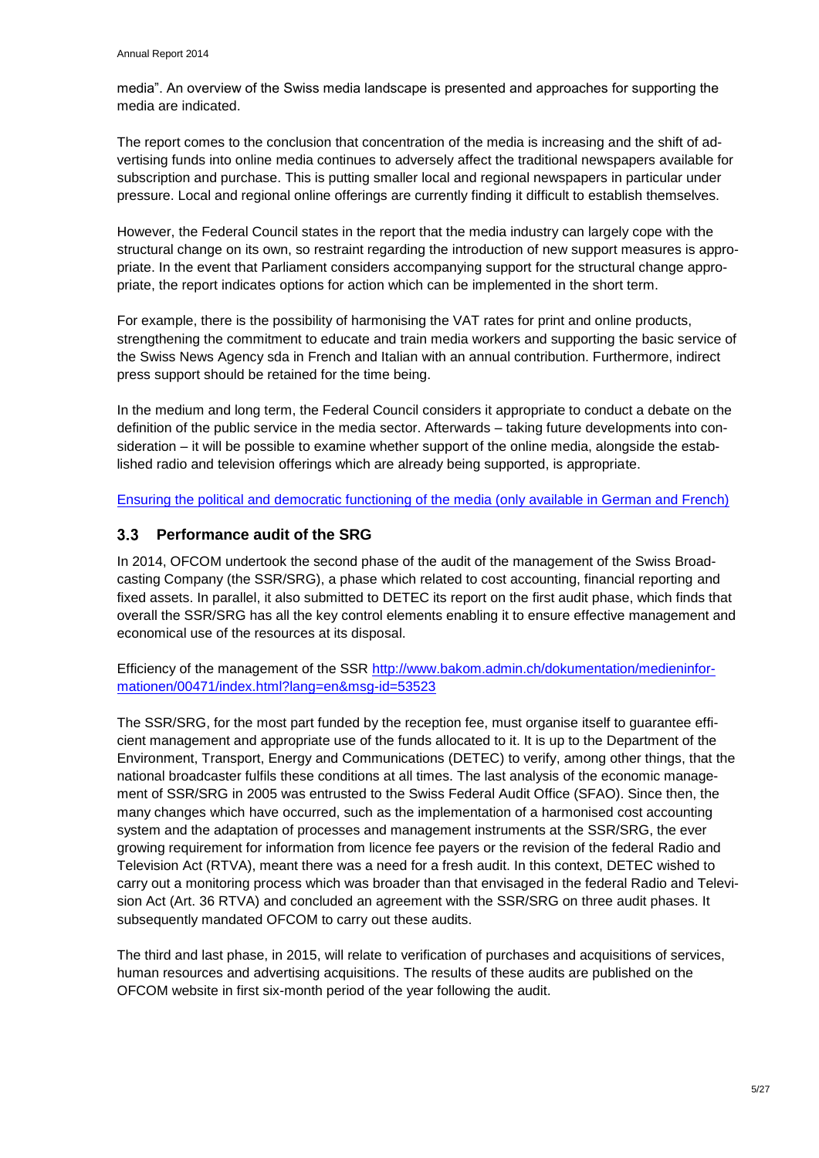media". An overview of the Swiss media landscape is presented and approaches for supporting the media are indicated.

The report comes to the conclusion that concentration of the media is increasing and the shift of advertising funds into online media continues to adversely affect the traditional newspapers available for subscription and purchase. This is putting smaller local and regional newspapers in particular under pressure. Local and regional online offerings are currently finding it difficult to establish themselves.

However, the Federal Council states in the report that the media industry can largely cope with the structural change on its own, so restraint regarding the introduction of new support measures is appropriate. In the event that Parliament considers accompanying support for the structural change appropriate, the report indicates options for action which can be implemented in the short term.

For example, there is the possibility of harmonising the VAT rates for print and online products, strengthening the commitment to educate and train media workers and supporting the basic service of the Swiss News Agency sda in French and Italian with an annual contribution. Furthermore, indirect press support should be retained for the time being.

In the medium and long term, the Federal Council considers it appropriate to conduct a debate on the definition of the public service in the media sector. Afterwards – taking future developments into consideration – it will be possible to examine whether support of the online media, alongside the established radio and television offerings which are already being supported, is appropriate.

[Ensuring the political and democratic functioning of the media \(only available in German and French\)](http://www.bakom.admin.ch/themen/radio_tv/00509/01188/04815/index.html?lang=de&download=NHzLpZeg7t,lnp6I0NTU042l2Z6ln1acy4Zn4Z2qZpnO2Yuq2Z6gpJCDfXx6fWym162epYbg2c_JjKbNoKSn6A--)

#### <span id="page-7-0"></span> $3.3$ **Performance audit of the SRG**

In 2014, OFCOM undertook the second phase of the audit of the management of the Swiss Broadcasting Company (the SSR/SRG), a phase which related to cost accounting, financial reporting and fixed assets. In parallel, it also submitted to DETEC its report on the first audit phase, which finds that overall the SSR/SRG has all the key control elements enabling it to ensure effective management and economical use of the resources at its disposal.

Efficiency of the management of the SSR [http://www.bakom.admin.ch/dokumentation/medieninfor](http://www.bakom.admin.ch/dokumentation/medieninformationen/00471/index.html?lang=en&msg-id=53523)[mationen/00471/index.html?lang=en&msg-id=53523](http://www.bakom.admin.ch/dokumentation/medieninformationen/00471/index.html?lang=en&msg-id=53523)

The SSR/SRG, for the most part funded by the reception fee, must organise itself to guarantee efficient management and appropriate use of the funds allocated to it. It is up to the Department of the Environment, Transport, Energy and Communications (DETEC) to verify, among other things, that the national broadcaster fulfils these conditions at all times. The last analysis of the economic management of SSR/SRG in 2005 was entrusted to the Swiss Federal Audit Office (SFAO). Since then, the many changes which have occurred, such as the implementation of a harmonised cost accounting system and the adaptation of processes and management instruments at the SSR/SRG, the ever growing requirement for information from licence fee payers or the revision of the federal Radio and Television Act (RTVA), meant there was a need for a fresh audit. In this context, DETEC wished to carry out a monitoring process which was broader than that envisaged in the federal Radio and Television Act (Art. 36 RTVA) and concluded an agreement with the SSR/SRG on three audit phases. It subsequently mandated OFCOM to carry out these audits.

The third and last phase, in 2015, will relate to verification of purchases and acquisitions of services, human resources and advertising acquisitions. The results of these audits are published on the OFCOM website in first six-month period of the year following the audit.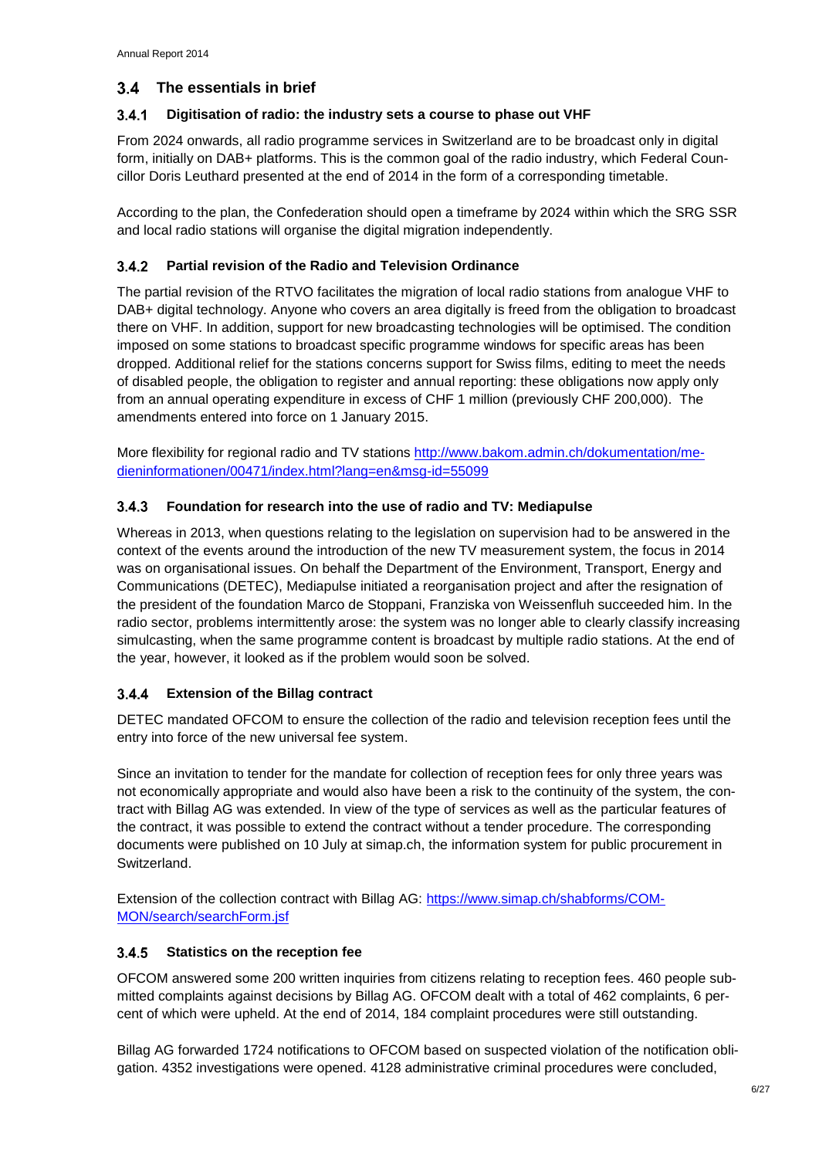### <span id="page-8-0"></span>**The essentials in brief**

#### <span id="page-8-1"></span> $3.4.1$ **Digitisation of radio: the industry sets a course to phase out VHF**

From 2024 onwards, all radio programme services in Switzerland are to be broadcast only in digital form, initially on DAB+ platforms. This is the common goal of the radio industry, which Federal Councillor Doris Leuthard presented at the end of 2014 in the form of a corresponding timetable.

According to the plan, the Confederation should open a timeframe by 2024 within which the SRG SSR and local radio stations will organise the digital migration independently.

#### <span id="page-8-2"></span>**Partial revision of the Radio and Television Ordinance**   $3.4.2$

The partial revision of the RTVO facilitates the migration of local radio stations from analogue VHF to DAB+ digital technology. Anyone who covers an area digitally is freed from the obligation to broadcast there on VHF. In addition, support for new broadcasting technologies will be optimised. The condition imposed on some stations to broadcast specific programme windows for specific areas has been dropped. Additional relief for the stations concerns support for Swiss films, editing to meet the needs of disabled people, the obligation to register and annual reporting: these obligations now apply only from an annual operating expenditure in excess of CHF 1 million (previously CHF 200,000). The amendments entered into force on 1 January 2015.

More flexibility for regional radio and TV stations [http://www.bakom.admin.ch/dokumentation/me](http://www.bakom.admin.ch/dokumentation/medieninformationen/00471/index.html?lang=en&msg-id=55099)[dieninformationen/00471/index.html?lang=en&msg-id=55099](http://www.bakom.admin.ch/dokumentation/medieninformationen/00471/index.html?lang=en&msg-id=55099)

#### <span id="page-8-3"></span> $3.4.3$ **Foundation for research into the use of radio and TV: Mediapulse**

Whereas in 2013, when questions relating to the legislation on supervision had to be answered in the context of the events around the introduction of the new TV measurement system, the focus in 2014 was on organisational issues. On behalf the Department of the Environment, Transport, Energy and Communications (DETEC), Mediapulse initiated a reorganisation project and after the resignation of the president of the foundation Marco de Stoppani, Franziska von Weissenfluh succeeded him. In the radio sector, problems intermittently arose: the system was no longer able to clearly classify increasing simulcasting, when the same programme content is broadcast by multiple radio stations. At the end of the year, however, it looked as if the problem would soon be solved.

#### <span id="page-8-4"></span>**Extension of the Billag contract**  $3.4.4$

DETEC mandated OFCOM to ensure the collection of the radio and television reception fees until the entry into force of the new universal fee system.

Since an invitation to tender for the mandate for collection of reception fees for only three years was not economically appropriate and would also have been a risk to the continuity of the system, the contract with Billag AG was extended. In view of the type of services as well as the particular features of the contract, it was possible to extend the contract without a tender procedure. The corresponding documents were published on 10 July at simap.ch, the information system for public procurement in Switzerland.

Extension of the collection contract with Billag AG: [https://www.simap.ch/shabforms/COM-](https://www.simap.ch/shabforms/COMMON/search/searchForm.jsf)[MON/search/searchForm.jsf](https://www.simap.ch/shabforms/COMMON/search/searchForm.jsf)

#### <span id="page-8-5"></span> $3.4.5$ **Statistics on the reception fee**

OFCOM answered some 200 written inquiries from citizens relating to reception fees. 460 people submitted complaints against decisions by Billag AG. OFCOM dealt with a total of 462 complaints, 6 percent of which were upheld. At the end of 2014, 184 complaint procedures were still outstanding.

Billag AG forwarded 1724 notifications to OFCOM based on suspected violation of the notification obligation. 4352 investigations were opened. 4128 administrative criminal procedures were concluded,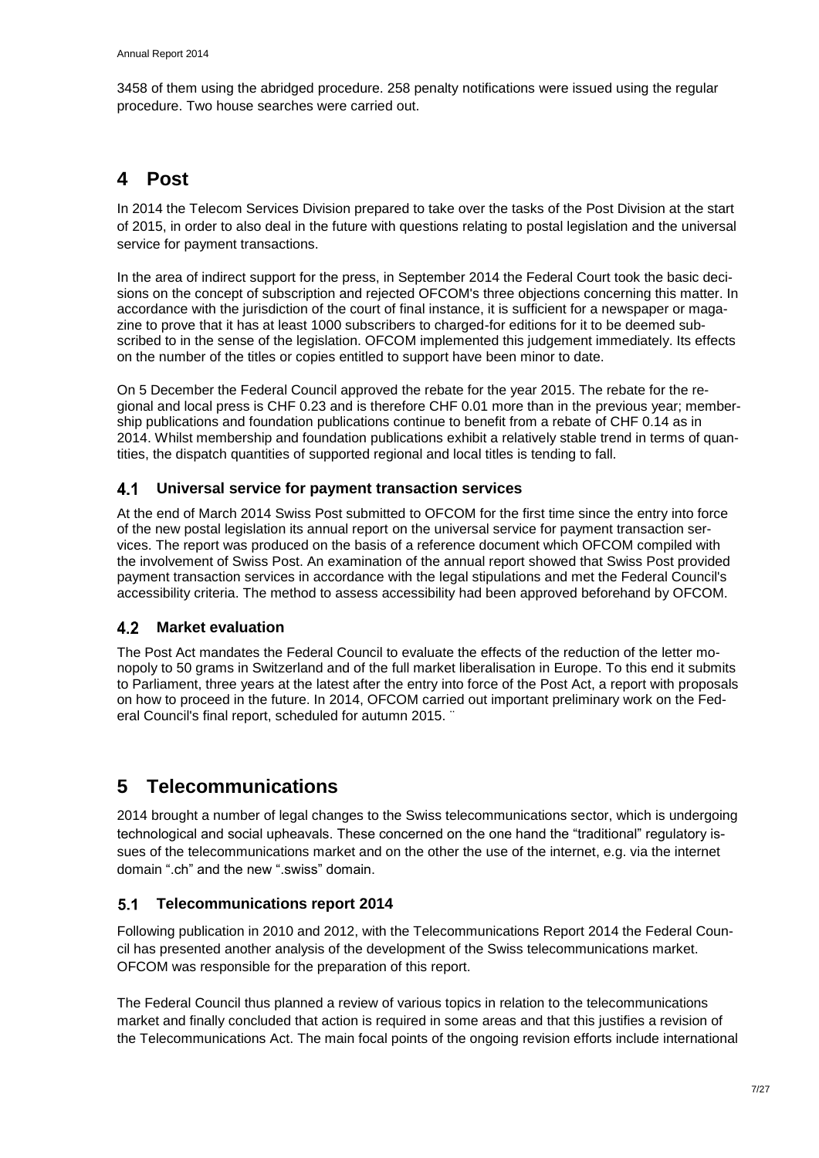3458 of them using the abridged procedure. 258 penalty notifications were issued using the regular procedure. Two house searches were carried out.

## <span id="page-9-0"></span>**4 Post**

In 2014 the Telecom Services Division prepared to take over the tasks of the Post Division at the start of 2015, in order to also deal in the future with questions relating to postal legislation and the universal service for payment transactions.

In the area of indirect support for the press, in September 2014 the Federal Court took the basic decisions on the concept of subscription and rejected OFCOM's three objections concerning this matter. In accordance with the jurisdiction of the court of final instance, it is sufficient for a newspaper or magazine to prove that it has at least 1000 subscribers to charged-for editions for it to be deemed subscribed to in the sense of the legislation. OFCOM implemented this judgement immediately. Its effects on the number of the titles or copies entitled to support have been minor to date.

On 5 December the Federal Council approved the rebate for the year 2015. The rebate for the regional and local press is CHF 0.23 and is therefore CHF 0.01 more than in the previous year; membership publications and foundation publications continue to benefit from a rebate of CHF 0.14 as in 2014. Whilst membership and foundation publications exhibit a relatively stable trend in terms of quantities, the dispatch quantities of supported regional and local titles is tending to fall.

#### <span id="page-9-1"></span> $4.1$ **Universal service for payment transaction services**

At the end of March 2014 Swiss Post submitted to OFCOM for the first time since the entry into force of the new postal legislation its annual report on the universal service for payment transaction services. The report was produced on the basis of a reference document which OFCOM compiled with the involvement of Swiss Post. An examination of the annual report showed that Swiss Post provided payment transaction services in accordance with the legal stipulations and met the Federal Council's accessibility criteria. The method to assess accessibility had been approved beforehand by OFCOM.

### <span id="page-9-2"></span>**Market evaluation**

The Post Act mandates the Federal Council to evaluate the effects of the reduction of the letter monopoly to 50 grams in Switzerland and of the full market liberalisation in Europe. To this end it submits to Parliament, three years at the latest after the entry into force of the Post Act, a report with proposals on how to proceed in the future. In 2014, OFCOM carried out important preliminary work on the Federal Council's final report, scheduled for autumn 2015. ¨

## <span id="page-9-3"></span>**5 Telecommunications**

2014 brought a number of legal changes to the Swiss telecommunications sector, which is undergoing technological and social upheavals. These concerned on the one hand the "traditional" regulatory issues of the telecommunications market and on the other the use of the internet, e.g. via the internet domain ".ch" and the new ".swiss" domain.

### <span id="page-9-4"></span>**Telecommunications report 2014**

Following publication in 2010 and 2012, with the Telecommunications Report 2014 the Federal Council has presented another analysis of the development of the Swiss telecommunications market. OFCOM was responsible for the preparation of this report.

The Federal Council thus planned a review of various topics in relation to the telecommunications market and finally concluded that action is required in some areas and that this justifies a revision of the Telecommunications Act. The main focal points of the ongoing revision efforts include international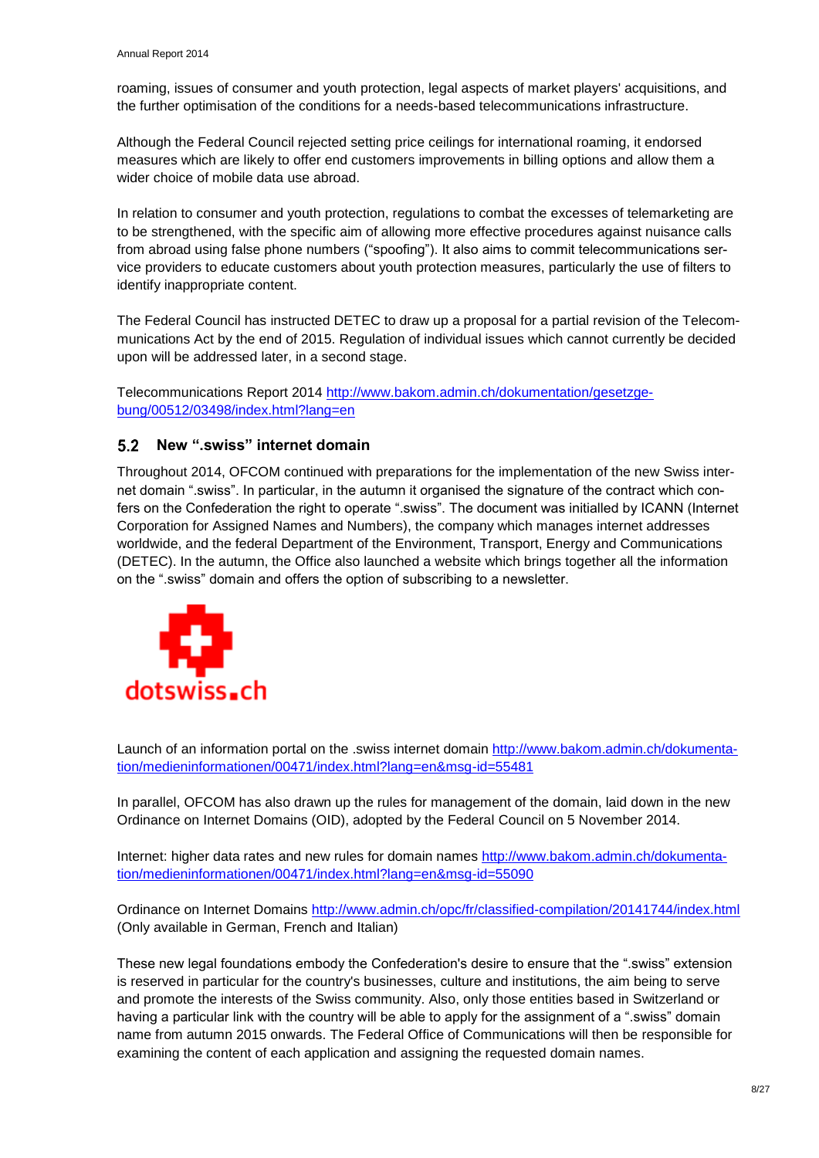roaming, issues of consumer and youth protection, legal aspects of market players' acquisitions, and the further optimisation of the conditions for a needs-based telecommunications infrastructure.

Although the Federal Council rejected setting price ceilings for international roaming, it endorsed measures which are likely to offer end customers improvements in billing options and allow them a wider choice of mobile data use abroad.

In relation to consumer and youth protection, regulations to combat the excesses of telemarketing are to be strengthened, with the specific aim of allowing more effective procedures against nuisance calls from abroad using false phone numbers ("spoofing"). It also aims to commit telecommunications service providers to educate customers about youth protection measures, particularly the use of filters to identify inappropriate content.

The Federal Council has instructed DETEC to draw up a proposal for a partial revision of the Telecommunications Act by the end of 2015. Regulation of individual issues which cannot currently be decided upon will be addressed later, in a second stage.

Telecommunications Report 2014 [http://www.bakom.admin.ch/dokumentation/gesetzge](http://www.bakom.admin.ch/dokumentation/gesetzgebung/00512/03498/index.html?lang=en)[bung/00512/03498/index.html?lang=en](http://www.bakom.admin.ch/dokumentation/gesetzgebung/00512/03498/index.html?lang=en)

### <span id="page-10-0"></span>**New ".swiss" internet domain**

Throughout 2014, OFCOM continued with preparations for the implementation of the new Swiss internet domain ".swiss". In particular, in the autumn it organised the signature of the contract which confers on the Confederation the right to operate ".swiss". The document was initialled by ICANN (Internet Corporation for Assigned Names and Numbers), the company which manages internet addresses worldwide, and the federal Department of the Environment, Transport, Energy and Communications (DETEC). In the autumn, the Office also launched a website which brings together all the information on the ".swiss" domain and offers the option of subscribing to a newsletter.



Launch of an information portal on the .swiss internet domain [http://www.bakom.admin.ch/dokumenta](http://www.bakom.admin.ch/dokumentation/medieninformationen/00471/index.html?lang=en&msg-id=55481)[tion/medieninformationen/00471/index.html?lang=en&msg-id=55481](http://www.bakom.admin.ch/dokumentation/medieninformationen/00471/index.html?lang=en&msg-id=55481)

In parallel, OFCOM has also drawn up the rules for management of the domain, laid down in the new Ordinance on Internet Domains (OID), adopted by the Federal Council on 5 November 2014.

Internet: higher data rates and new rules for domain names [http://www.bakom.admin.ch/dokumenta](http://www.bakom.admin.ch/dokumentation/medieninformationen/00471/index.html?lang=en&msg-id=55090)[tion/medieninformationen/00471/index.html?lang=en&msg-id=55090](http://www.bakom.admin.ch/dokumentation/medieninformationen/00471/index.html?lang=en&msg-id=55090)

Ordinance on Internet Domains <http://www.admin.ch/opc/fr/classified-compilation/20141744/index.html> (Only available in German, French and Italian)

These new legal foundations embody the Confederation's desire to ensure that the ".swiss" extension is reserved in particular for the country's businesses, culture and institutions, the aim being to serve and promote the interests of the Swiss community. Also, only those entities based in Switzerland or having a particular link with the country will be able to apply for the assignment of a ".swiss" domain name from autumn 2015 onwards. The Federal Office of Communications will then be responsible for examining the content of each application and assigning the requested domain names.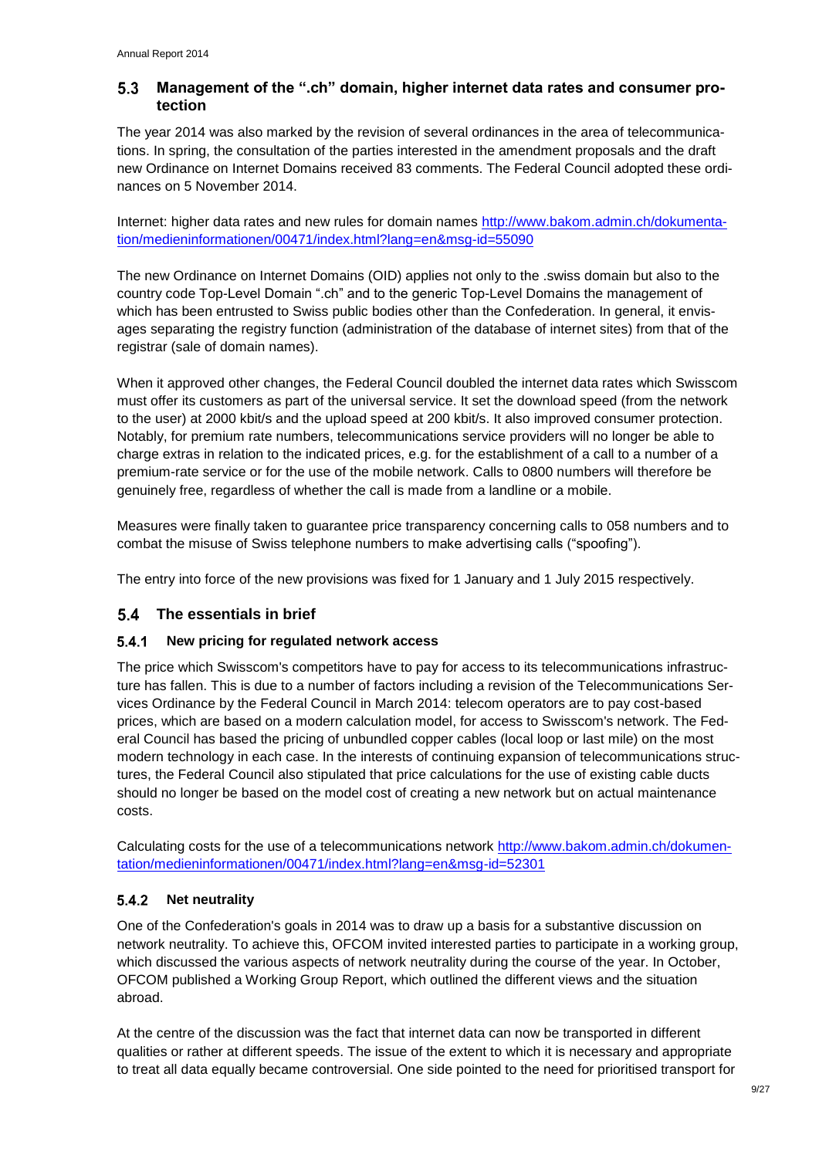#### <span id="page-11-0"></span>5.3 **Management of the ".ch" domain, higher internet data rates and consumer protection**

The year 2014 was also marked by the revision of several ordinances in the area of telecommunications. In spring, the consultation of the parties interested in the amendment proposals and the draft new Ordinance on Internet Domains received 83 comments. The Federal Council adopted these ordinances on 5 November 2014.

Internet: higher data rates and new rules for domain names [http://www.bakom.admin.ch/dokumenta](http://www.bakom.admin.ch/dokumentation/medieninformationen/00471/index.html?lang=en&msg-id=55090)[tion/medieninformationen/00471/index.html?lang=en&msg-id=55090](http://www.bakom.admin.ch/dokumentation/medieninformationen/00471/index.html?lang=en&msg-id=55090)

The new Ordinance on Internet Domains (OID) applies not only to the .swiss domain but also to the country code Top-Level Domain ".ch" and to the generic Top-Level Domains the management of which has been entrusted to Swiss public bodies other than the Confederation. In general, it envisages separating the registry function (administration of the database of internet sites) from that of the registrar (sale of domain names).

When it approved other changes, the Federal Council doubled the internet data rates which Swisscom must offer its customers as part of the universal service. It set the download speed (from the network to the user) at 2000 kbit/s and the upload speed at 200 kbit/s. It also improved consumer protection. Notably, for premium rate numbers, telecommunications service providers will no longer be able to charge extras in relation to the indicated prices, e.g. for the establishment of a call to a number of a premium-rate service or for the use of the mobile network. Calls to 0800 numbers will therefore be genuinely free, regardless of whether the call is made from a landline or a mobile.

Measures were finally taken to guarantee price transparency concerning calls to 058 numbers and to combat the misuse of Swiss telephone numbers to make advertising calls ("spoofing").

The entry into force of the new provisions was fixed for 1 January and 1 July 2015 respectively.

### <span id="page-11-1"></span>**The essentials in brief**

#### <span id="page-11-2"></span> $5.4.1$ **New pricing for regulated network access**

The price which Swisscom's competitors have to pay for access to its telecommunications infrastructure has fallen. This is due to a number of factors including a revision of the Telecommunications Services Ordinance by the Federal Council in March 2014: telecom operators are to pay cost-based prices, which are based on a modern calculation model, for access to Swisscom's network. The Federal Council has based the pricing of unbundled copper cables (local loop or last mile) on the most modern technology in each case. In the interests of continuing expansion of telecommunications structures, the Federal Council also stipulated that price calculations for the use of existing cable ducts should no longer be based on the model cost of creating a new network but on actual maintenance costs.

Calculating costs for the use of a telecommunications network [http://www.bakom.admin.ch/dokumen](http://www.bakom.admin.ch/dokumentation/medieninformationen/00471/index.html?lang=en&msg-id=52301)[tation/medieninformationen/00471/index.html?lang=en&msg-id=52301](http://www.bakom.admin.ch/dokumentation/medieninformationen/00471/index.html?lang=en&msg-id=52301)

#### <span id="page-11-3"></span> $5.4.2$ **Net neutrality**

One of the Confederation's goals in 2014 was to draw up a basis for a substantive discussion on network neutrality. To achieve this, OFCOM invited interested parties to participate in a working group, which discussed the various aspects of network neutrality during the course of the year. In October, OFCOM published a Working Group Report, which outlined the different views and the situation abroad.

At the centre of the discussion was the fact that internet data can now be transported in different qualities or rather at different speeds. The issue of the extent to which it is necessary and appropriate to treat all data equally became controversial. One side pointed to the need for prioritised transport for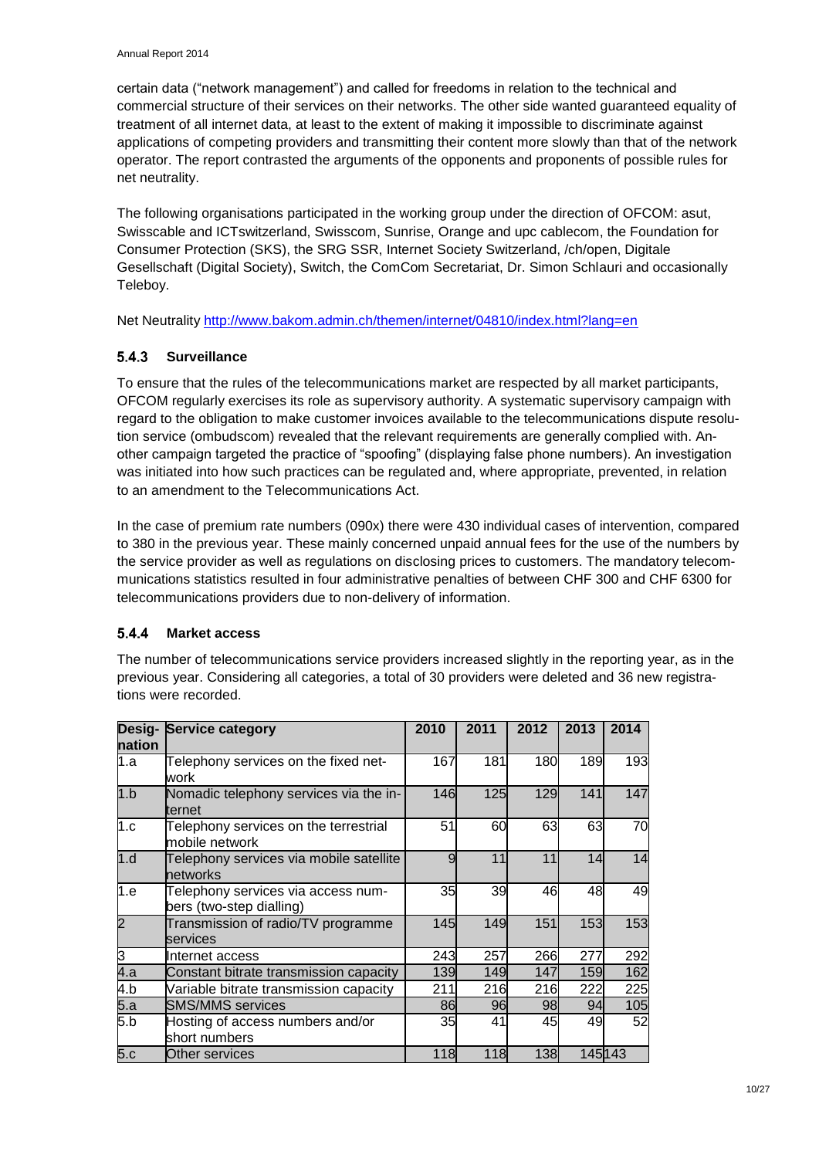certain data ("network management") and called for freedoms in relation to the technical and commercial structure of their services on their networks. The other side wanted guaranteed equality of treatment of all internet data, at least to the extent of making it impossible to discriminate against applications of competing providers and transmitting their content more slowly than that of the network operator. The report contrasted the arguments of the opponents and proponents of possible rules for net neutrality.

The following organisations participated in the working group under the direction of OFCOM: asut, Swisscable and ICTswitzerland, Swisscom, Sunrise, Orange and upc cablecom, the Foundation for Consumer Protection (SKS), the SRG SSR, Internet Society Switzerland, /ch/open, Digitale Gesellschaft (Digital Society), Switch, the ComCom Secretariat, Dr. Simon Schlauri and occasionally Teleboy.

Net Neutrality<http://www.bakom.admin.ch/themen/internet/04810/index.html?lang=en>

#### <span id="page-12-0"></span>**Surveillance**   $5.4.3$

To ensure that the rules of the telecommunications market are respected by all market participants, OFCOM regularly exercises its role as supervisory authority. A systematic supervisory campaign with regard to the obligation to make customer invoices available to the telecommunications dispute resolution service (ombudscom) revealed that the relevant requirements are generally complied with. Another campaign targeted the practice of "spoofing" (displaying false phone numbers). An investigation was initiated into how such practices can be regulated and, where appropriate, prevented, in relation to an amendment to the Telecommunications Act.

In the case of premium rate numbers (090x) there were 430 individual cases of intervention, compared to 380 in the previous year. These mainly concerned unpaid annual fees for the use of the numbers by the service provider as well as regulations on disclosing prices to customers. The mandatory telecommunications statistics resulted in four administrative penalties of between CHF 300 and CHF 6300 for telecommunications providers due to non-delivery of information.

#### <span id="page-12-1"></span> $5.4.4$ **Market access**

The number of telecommunications service providers increased slightly in the reporting year, as in the previous year. Considering all categories, a total of 30 providers were deleted and 36 new registrations were recorded.

| Desig-<br>nation | <b>Service category</b>                                        | 2010 | 2011 | 2012 | 2013 | 2014    |
|------------------|----------------------------------------------------------------|------|------|------|------|---------|
| 1.a              | Telephony services on the fixed net-<br>work                   | 167  | 181  | 180  | 189  | 193     |
| 1.b              | Nomadic telephony services via the in-<br>ternet               | 146  | 125  | 129  | 141  | 147     |
| 1.c              | Telephony services on the terrestrial<br>mobile network        | 51   | 60   | 63   | 63   | 70      |
| 1.d              | Telephony services via mobile satellite<br>hetworks            | 9    | 11   | 11   | 14   | 14      |
| 1.e              | Telephony services via access num-<br>bers (two-step dialling) | 35   | 39   | 46   | 48   | 49      |
| $\overline{2}$   | Transmission of radio/TV programme<br>services                 | 145  | 149  | 151  | 153  | 153     |
| 3                | Internet access                                                | 243  | 257  | 266  | 277  | 292     |
| 4.a              | Constant bitrate transmission capacity                         | 139  | 149  | 147  | 159  | 162     |
| 4.b              | Variable bitrate transmission capacity                         | 211  | 216  | 216  | 222  | 225     |
| 5.a              | <b>SMS/MMS</b> services                                        | 86   | 96   | 98   | 94   | 105     |
| 5.b              | Hosting of access numbers and/or<br>short numbers              | 35   | 41   | 45   | 49   | 52      |
| 5.c              | Other services                                                 | 118  | 118  | 138  |      | 145 143 |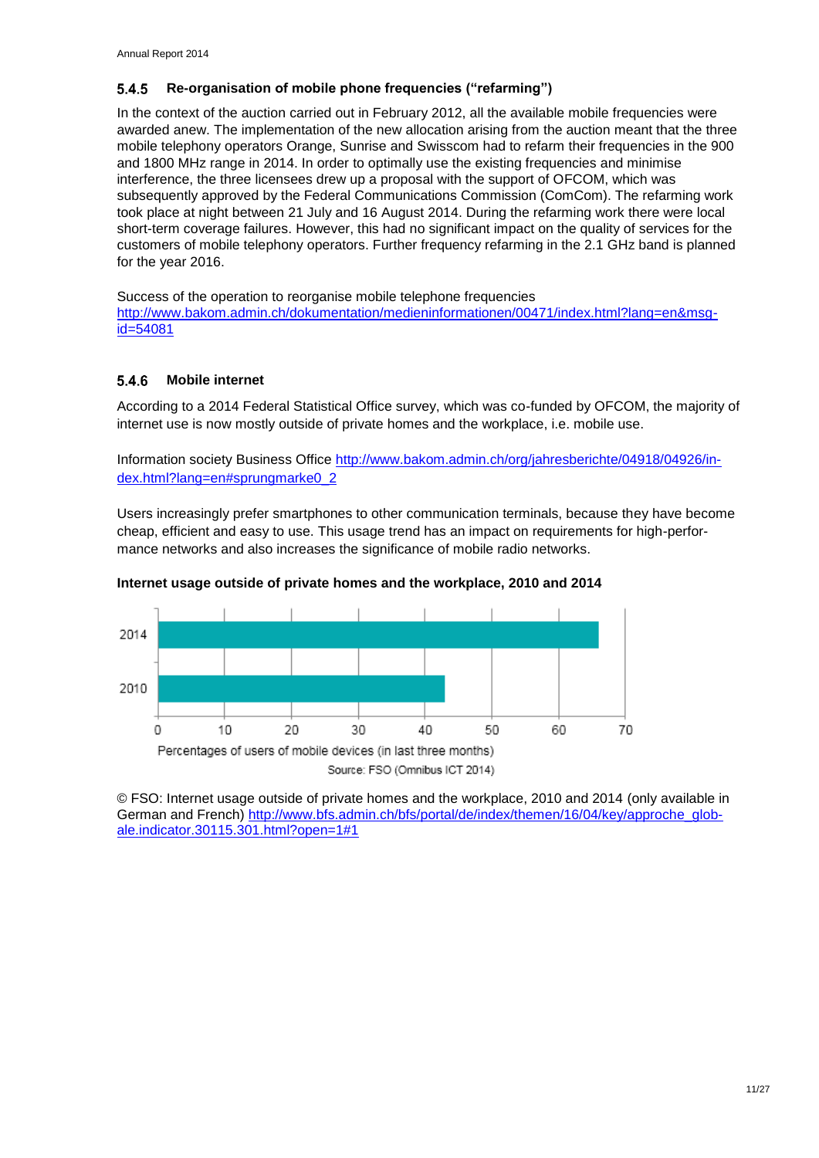#### <span id="page-13-0"></span> $5.4.5$ **Re-organisation of mobile phone frequencies ("refarming")**

In the context of the auction carried out in February 2012, all the available mobile frequencies were awarded anew. The implementation of the new allocation arising from the auction meant that the three mobile telephony operators Orange, Sunrise and Swisscom had to refarm their frequencies in the 900 and 1800 MHz range in 2014. In order to optimally use the existing frequencies and minimise interference, the three licensees drew up a proposal with the support of OFCOM, which was subsequently approved by the Federal Communications Commission (ComCom). The refarming work took place at night between 21 July and 16 August 2014. During the refarming work there were local short-term coverage failures. However, this had no significant impact on the quality of services for the customers of mobile telephony operators. Further frequency refarming in the 2.1 GHz band is planned for the year 2016.

Success of the operation to reorganise mobile telephone frequencies [http://www.bakom.admin.ch/dokumentation/medieninformationen/00471/index.html?lang=en&msg](http://www.bakom.admin.ch/dokumentation/medieninformationen/00471/index.html?lang=en&msg-id=54081)[id=54081](http://www.bakom.admin.ch/dokumentation/medieninformationen/00471/index.html?lang=en&msg-id=54081)

#### <span id="page-13-1"></span>5.4.6 **Mobile internet**

According to a 2014 Federal Statistical Office survey, which was co-funded by OFCOM, the majority of internet use is now mostly outside of private homes and the workplace, i.e. mobile use.

Information society Business Office [http://www.bakom.admin.ch/org/jahresberichte/04918/04926/in](http://www.bakom.admin.ch/org/jahresberichte/04918/04926/index.html?lang=en#sprungmarke0_2)[dex.html?lang=en#sprungmarke0\\_2](http://www.bakom.admin.ch/org/jahresberichte/04918/04926/index.html?lang=en#sprungmarke0_2)

Users increasingly prefer smartphones to other communication terminals, because they have become cheap, efficient and easy to use. This usage trend has an impact on requirements for high-performance networks and also increases the significance of mobile radio networks.



### **Internet usage outside of private homes and the workplace, 2010 and 2014**

© FSO: Internet usage outside of private homes and the workplace, 2010 and 2014 (only available in German and French) [http://www.bfs.admin.ch/bfs/portal/de/index/themen/16/04/key/approche\\_glob](http://www.bfs.admin.ch/bfs/portal/de/index/themen/16/04/key/approche_globale.indicator.30115.301.html?open=1#1)[ale.indicator.30115.301.html?open=1#1](http://www.bfs.admin.ch/bfs/portal/de/index/themen/16/04/key/approche_globale.indicator.30115.301.html?open=1#1)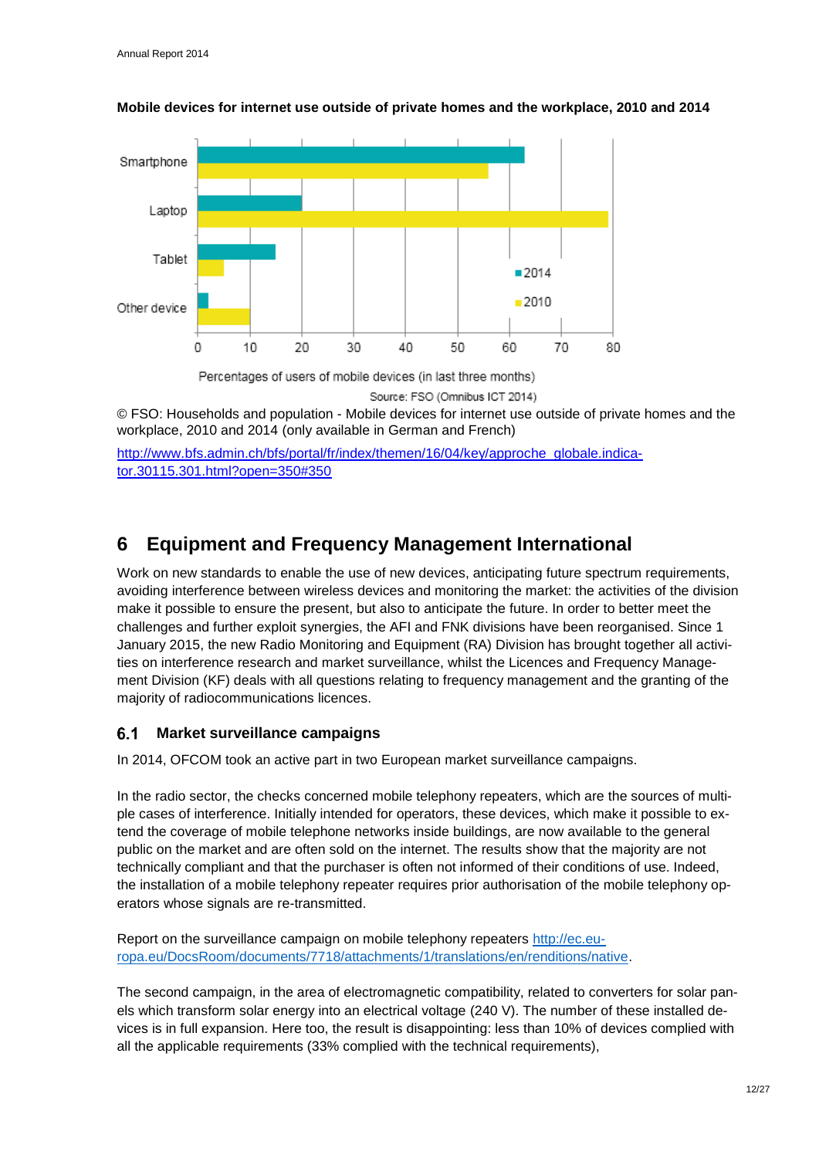

### **Mobile devices for internet use outside of private homes and the workplace, 2010 and 2014**

Source: FSO (Omnibus ICT 2014)

© FSO: Households and population - Mobile devices for internet use outside of private homes and the workplace, 2010 and 2014 (only available in German and French)

[http://www.bfs.admin.ch/bfs/portal/fr/index/themen/16/04/key/approche\\_globale.indica](http://www.bfs.admin.ch/bfs/portal/fr/index/themen/16/04/key/approche_globale.indicator.30115.301.html?open=350#350)[tor.30115.301.html?open=350#350](http://www.bfs.admin.ch/bfs/portal/fr/index/themen/16/04/key/approche_globale.indicator.30115.301.html?open=350#350)

## <span id="page-14-0"></span>**6 Equipment and Frequency Management International**

Work on new standards to enable the use of new devices, anticipating future spectrum requirements, avoiding interference between wireless devices and monitoring the market: the activities of the division make it possible to ensure the present, but also to anticipate the future. In order to better meet the challenges and further exploit synergies, the AFI and FNK divisions have been reorganised. Since 1 January 2015, the new Radio Monitoring and Equipment (RA) Division has brought together all activities on interference research and market surveillance, whilst the Licences and Frequency Management Division (KF) deals with all questions relating to frequency management and the granting of the majority of radiocommunications licences.

#### <span id="page-14-1"></span> $6.1$ **Market surveillance campaigns**

In 2014, OFCOM took an active part in two European market surveillance campaigns.

In the radio sector, the checks concerned mobile telephony repeaters, which are the sources of multiple cases of interference. Initially intended for operators, these devices, which make it possible to extend the coverage of mobile telephone networks inside buildings, are now available to the general public on the market and are often sold on the internet. The results show that the majority are not technically compliant and that the purchaser is often not informed of their conditions of use. Indeed, the installation of a mobile telephony repeater requires prior authorisation of the mobile telephony operators whose signals are re-transmitted.

Report on the surveillance campaign on mobile telephony repeaters [http://ec.eu](http://ec.europa.eu/DocsRoom/documents/7718/attachments/1/translations/en/renditions/native)[ropa.eu/DocsRoom/documents/7718/attachments/1/translations/en/renditions/native.](http://ec.europa.eu/DocsRoom/documents/7718/attachments/1/translations/en/renditions/native)

The second campaign, in the area of electromagnetic compatibility, related to converters for solar panels which transform solar energy into an electrical voltage (240 V). The number of these installed devices is in full expansion. Here too, the result is disappointing: less than 10% of devices complied with all the applicable requirements (33% complied with the technical requirements),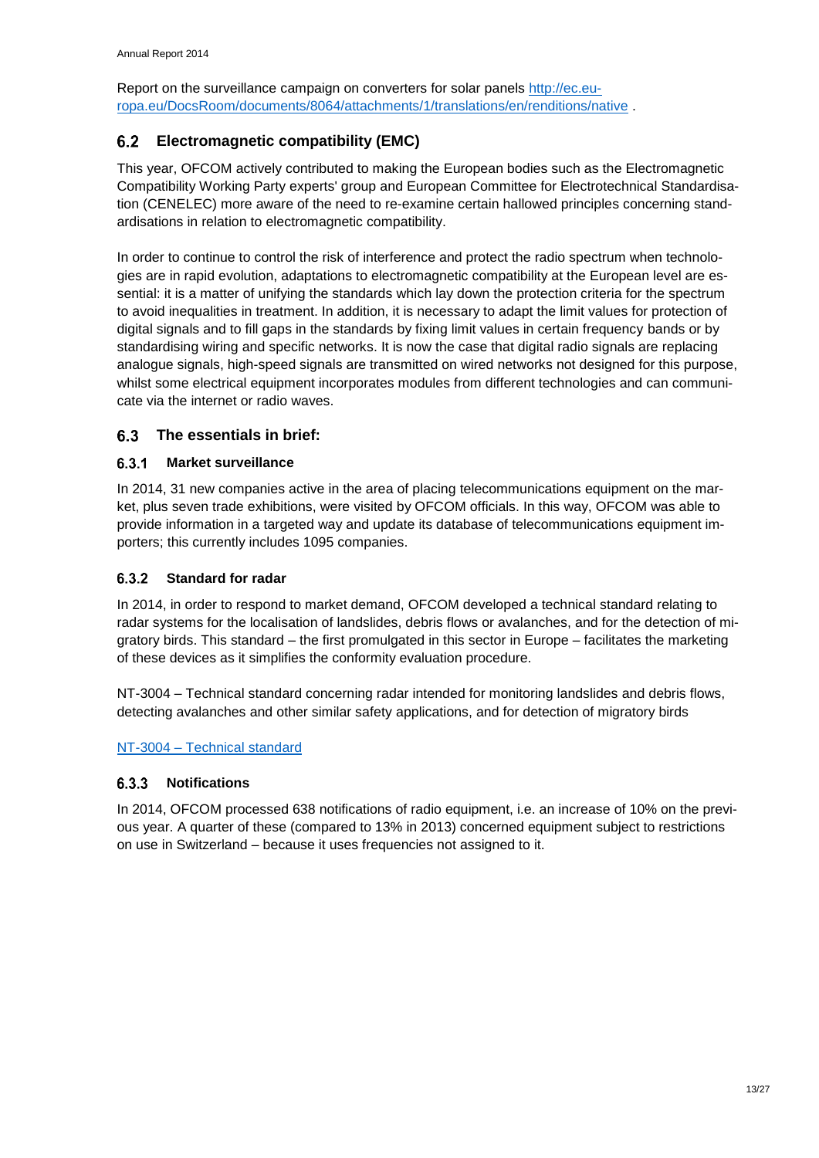Report on the surveillance campaign on converters for solar panels [http://ec.eu](http://ec.europa.eu/DocsRoom/documents/8064/attachments/1/translations/en/renditions/native)[ropa.eu/DocsRoom/documents/8064/attachments/1/translations/en/renditions/native](http://ec.europa.eu/DocsRoom/documents/8064/attachments/1/translations/en/renditions/native) .

### <span id="page-15-0"></span>**Electromagnetic compatibility (EMC)**

This year, OFCOM actively contributed to making the European bodies such as the Electromagnetic Compatibility Working Party experts' group and European Committee for Electrotechnical Standardisation (CENELEC) more aware of the need to re-examine certain hallowed principles concerning standardisations in relation to electromagnetic compatibility.

In order to continue to control the risk of interference and protect the radio spectrum when technologies are in rapid evolution, adaptations to electromagnetic compatibility at the European level are essential: it is a matter of unifying the standards which lay down the protection criteria for the spectrum to avoid inequalities in treatment. In addition, it is necessary to adapt the limit values for protection of digital signals and to fill gaps in the standards by fixing limit values in certain frequency bands or by standardising wiring and specific networks. It is now the case that digital radio signals are replacing analogue signals, high-speed signals are transmitted on wired networks not designed for this purpose, whilst some electrical equipment incorporates modules from different technologies and can communicate via the internet or radio waves.

#### <span id="page-15-1"></span> $6.3$ **The essentials in brief:**

#### <span id="page-15-2"></span> $6.3.1$ **Market surveillance**

In 2014, 31 new companies active in the area of placing telecommunications equipment on the market, plus seven trade exhibitions, were visited by OFCOM officials. In this way, OFCOM was able to provide information in a targeted way and update its database of telecommunications equipment importers; this currently includes 1095 companies.

#### <span id="page-15-3"></span> $6.3.2$ **Standard for radar**

In 2014, in order to respond to market demand, OFCOM developed a technical standard relating to radar systems for the localisation of landslides, debris flows or avalanches, and for the detection of migratory birds. This standard – the first promulgated in this sector in Europe – facilitates the marketing of these devices as it simplifies the conformity evaluation procedure.

NT-3004 – Technical standard concerning radar intended for monitoring landslides and debris flows, detecting avalanches and other similar safety applications, and for detection of migratory birds

### NT-3004 – [Technical standard](http://www.bakom.admin.ch/org/grundlagen/00563/00575/01142/index.html?lang=fr&download=NHzLpZeg7t,lnp6I0NTU042l2Z6ln1ae2IZn4Z2qZpnO2Yuq2Z6gpJCDfXx7g2ym162epYbg2c_JjKbNoKSn6A--)

#### <span id="page-15-4"></span> $6.3.3$ **Notifications**

In 2014, OFCOM processed 638 notifications of radio equipment, i.e. an increase of 10% on the previous year. A quarter of these (compared to 13% in 2013) concerned equipment subject to restrictions on use in Switzerland – because it uses frequencies not assigned to it.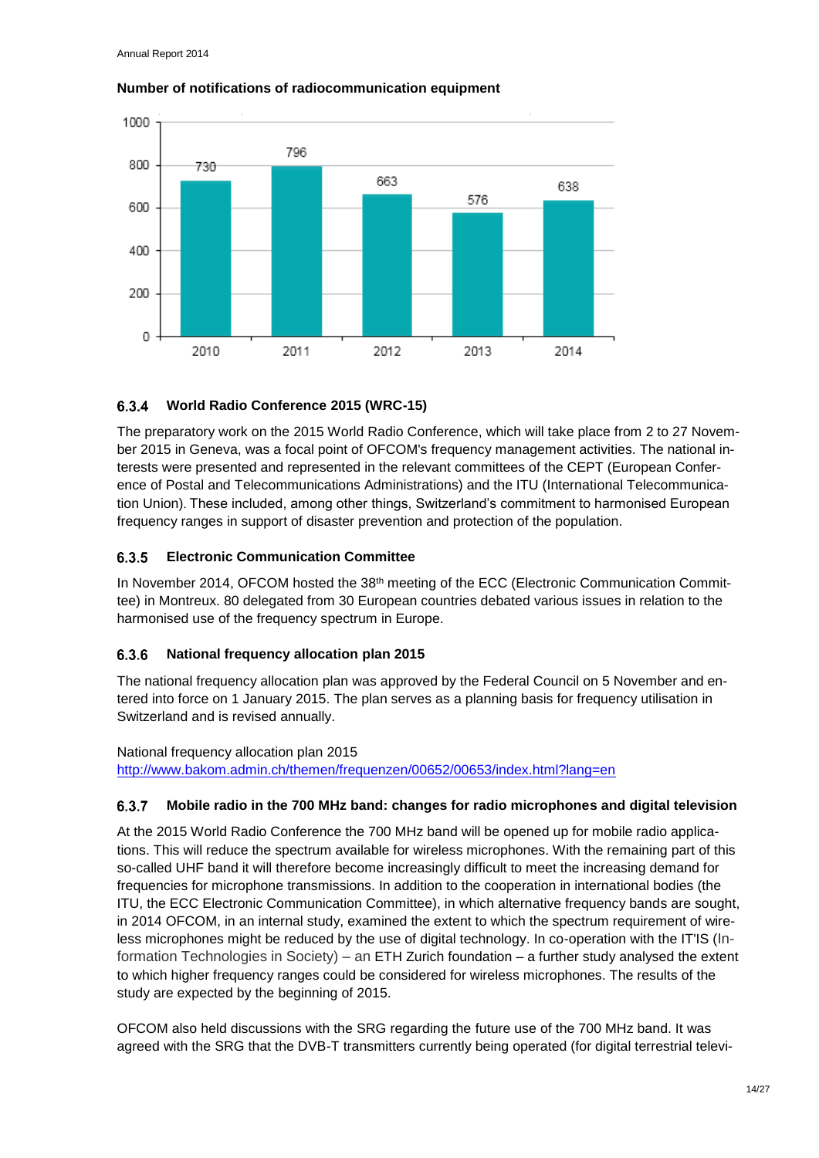

### **Number of notifications of radiocommunication equipment**

#### <span id="page-16-0"></span> $6.3.4$ **World Radio Conference 2015 (WRC-15)**

The preparatory work on the 2015 World Radio Conference, which will take place from 2 to 27 November 2015 in Geneva, was a focal point of OFCOM's frequency management activities. The national interests were presented and represented in the relevant committees of the CEPT (European Conference of Postal and Telecommunications Administrations) and the ITU (International Telecommunication Union). These included, among other things, Switzerland's commitment to harmonised European frequency ranges in support of disaster prevention and protection of the population.

#### <span id="page-16-1"></span> $6.3.5$ **Electronic Communication Committee**

In November 2014, OFCOM hosted the 38<sup>th</sup> meeting of the ECC (Electronic Communication Committee) in Montreux. 80 delegated from 30 European countries debated various issues in relation to the harmonised use of the frequency spectrum in Europe.

#### <span id="page-16-2"></span>6.3.6 **National frequency allocation plan 2015**

The national frequency allocation plan was approved by the Federal Council on 5 November and entered into force on 1 January 2015. The plan serves as a planning basis for frequency utilisation in Switzerland and is revised annually.

National frequency allocation plan 2015 <http://www.bakom.admin.ch/themen/frequenzen/00652/00653/index.html?lang=en>

#### <span id="page-16-3"></span>**Mobile radio in the 700 MHz band: changes for radio microphones and digital television**  $6.3.7$

At the 2015 World Radio Conference the 700 MHz band will be opened up for mobile radio applications. This will reduce the spectrum available for wireless microphones. With the remaining part of this so-called UHF band it will therefore become increasingly difficult to meet the increasing demand for frequencies for microphone transmissions. In addition to the cooperation in international bodies (the ITU, the ECC Electronic Communication Committee), in which alternative frequency bands are sought, in 2014 OFCOM, in an internal study, examined the extent to which the spectrum requirement of wireless microphones might be reduced by the use of digital technology. In co-operation with the IT'IS (Information Technologies in Society) – an ETH Zurich foundation – a further study analysed the extent to which higher frequency ranges could be considered for wireless microphones. The results of the study are expected by the beginning of 2015.

OFCOM also held discussions with the SRG regarding the future use of the 700 MHz band. It was agreed with the SRG that the DVB-T transmitters currently being operated (for digital terrestrial televi-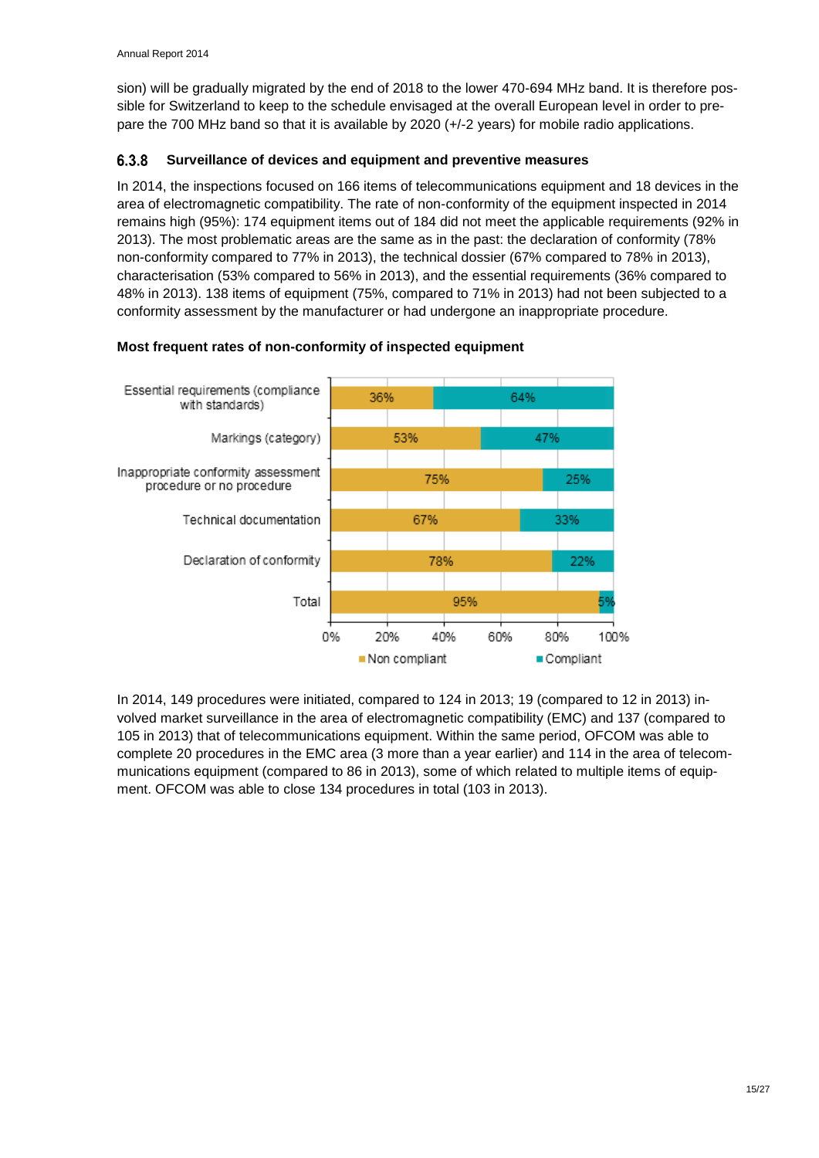sion) will be gradually migrated by the end of 2018 to the lower 470-694 MHz band. It is therefore possible for Switzerland to keep to the schedule envisaged at the overall European level in order to prepare the 700 MHz band so that it is available by 2020 (+/-2 years) for mobile radio applications.

#### <span id="page-17-0"></span>6.3.8 **Surveillance of devices and equipment and preventive measures**

In 2014, the inspections focused on 166 items of telecommunications equipment and 18 devices in the area of electromagnetic compatibility. The rate of non-conformity of the equipment inspected in 2014 remains high (95%): 174 equipment items out of 184 did not meet the applicable requirements (92% in 2013). The most problematic areas are the same as in the past: the declaration of conformity (78% non-conformity compared to 77% in 2013), the technical dossier (67% compared to 78% in 2013), characterisation (53% compared to 56% in 2013), and the essential requirements (36% compared to 48% in 2013). 138 items of equipment (75%, compared to 71% in 2013) had not been subjected to a conformity assessment by the manufacturer or had undergone an inappropriate procedure.

#### Essential requirements (compliance 36% 64% with standards) 53% 47% Markings (category) Inappropriate conformity assessment 75% 25% procedure or no procedure Technical documentation 67% 33% Declaration of conformity 78% 22% Total 95% 0% 20% 40% 60% 80% 100%

### **Most frequent rates of non-conformity of inspected equipment**

In 2014, 149 procedures were initiated, compared to 124 in 2013; 19 (compared to 12 in 2013) involved market surveillance in the area of electromagnetic compatibility (EMC) and 137 (compared to 105 in 2013) that of telecommunications equipment. Within the same period, OFCOM was able to complete 20 procedures in the EMC area (3 more than a year earlier) and 114 in the area of telecommunications equipment (compared to 86 in 2013), some of which related to multiple items of equipment. OFCOM was able to close 134 procedures in total (103 in 2013).

Compliant

Non compliant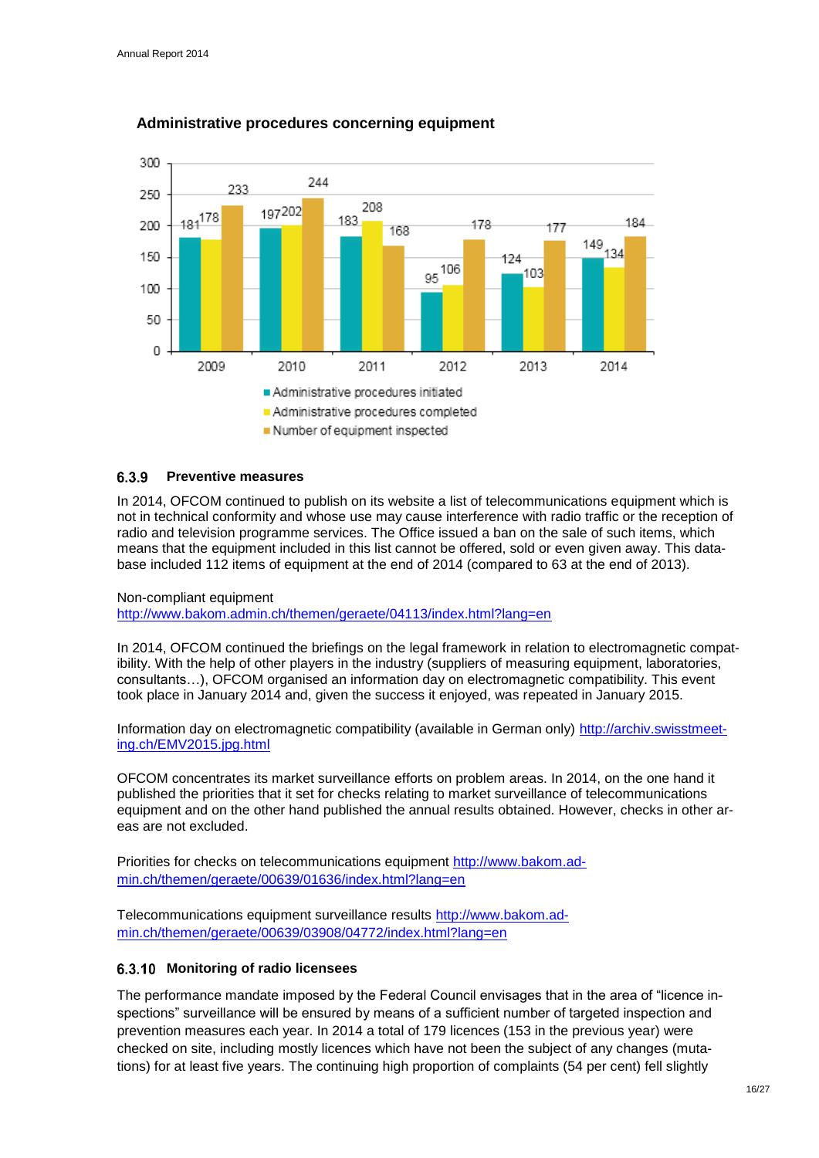

### **Administrative procedures concerning equipment**

#### <span id="page-18-0"></span>639 **Preventive measures**

In 2014, OFCOM continued to publish on its website a list of telecommunications equipment which is not in technical conformity and whose use may cause interference with radio traffic or the reception of radio and television programme services. The Office issued a ban on the sale of such items, which means that the equipment included in this list cannot be offered, sold or even given away. This database included 112 items of equipment at the end of 2014 (compared to 63 at the end of 2013).

Non-compliant equipment

<http://www.bakom.admin.ch/themen/geraete/04113/index.html?lang=en>

In 2014, OFCOM continued the briefings on the legal framework in relation to electromagnetic compatibility. With the help of other players in the industry (suppliers of measuring equipment, laboratories, consultants…), OFCOM organised an information day on electromagnetic compatibility. This event took place in January 2014 and, given the success it enjoyed, was repeated in January 2015.

Information day on electromagnetic compatibility (available in German only) [http://archiv.swisstmeet](http://archiv.swisstmeeting.ch/EMV2015.jpg.html)[ing.ch/EMV2015.jpg.html](http://archiv.swisstmeeting.ch/EMV2015.jpg.html)

OFCOM concentrates its market surveillance efforts on problem areas. In 2014, on the one hand it published the priorities that it set for checks relating to market surveillance of telecommunications equipment and on the other hand published the annual results obtained. However, checks in other areas are not excluded.

Priorities for checks on telecommunications equipment [http://www.bakom.ad](http://www.bakom.admin.ch/themen/geraete/00639/01636/index.html?lang=en)[min.ch/themen/geraete/00639/01636/index.html?lang=en](http://www.bakom.admin.ch/themen/geraete/00639/01636/index.html?lang=en)

Telecommunications equipment surveillance results [http://www.bakom.ad](http://www.bakom.admin.ch/themen/geraete/00639/03908/04772/index.html?lang=en)[min.ch/themen/geraete/00639/03908/04772/index.html?lang=en](http://www.bakom.admin.ch/themen/geraete/00639/03908/04772/index.html?lang=en)

### <span id="page-18-1"></span>**Monitoring of radio licensees**

The performance mandate imposed by the Federal Council envisages that in the area of "licence inspections" surveillance will be ensured by means of a sufficient number of targeted inspection and prevention measures each year. In 2014 a total of 179 licences (153 in the previous year) were checked on site, including mostly licences which have not been the subject of any changes (mutations) for at least five years. The continuing high proportion of complaints (54 per cent) fell slightly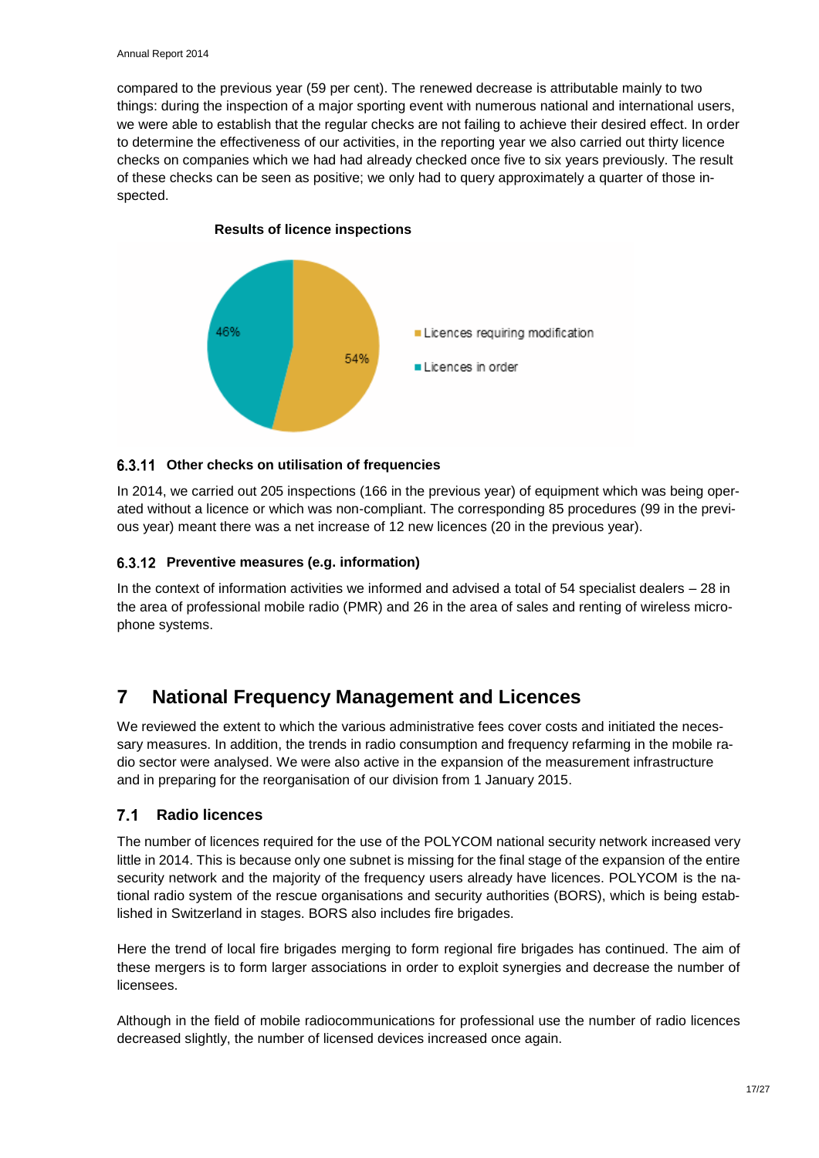compared to the previous year (59 per cent). The renewed decrease is attributable mainly to two things: during the inspection of a major sporting event with numerous national and international users, we were able to establish that the regular checks are not failing to achieve their desired effect. In order to determine the effectiveness of our activities, in the reporting year we also carried out thirty licence checks on companies which we had had already checked once five to six years previously. The result of these checks can be seen as positive; we only had to query approximately a quarter of those inspected.



### **Results of licence inspections**

### <span id="page-19-0"></span>**Other checks on utilisation of frequencies**

In 2014, we carried out 205 inspections (166 in the previous year) of equipment which was being operated without a licence or which was non-compliant. The corresponding 85 procedures (99 in the previous year) meant there was a net increase of 12 new licences (20 in the previous year).

### <span id="page-19-1"></span>**Preventive measures (e.g. information)**

In the context of information activities we informed and advised a total of 54 specialist dealers – 28 in the area of professional mobile radio (PMR) and 26 in the area of sales and renting of wireless microphone systems.

## <span id="page-19-2"></span>**7 National Frequency Management and Licences**

We reviewed the extent to which the various administrative fees cover costs and initiated the necessary measures. In addition, the trends in radio consumption and frequency refarming in the mobile radio sector were analysed. We were also active in the expansion of the measurement infrastructure and in preparing for the reorganisation of our division from 1 January 2015.

#### <span id="page-19-3"></span> $7.1$ **Radio licences**

The number of licences required for the use of the POLYCOM national security network increased very little in 2014. This is because only one subnet is missing for the final stage of the expansion of the entire security network and the majority of the frequency users already have licences. POLYCOM is the national radio system of the rescue organisations and security authorities (BORS), which is being established in Switzerland in stages. BORS also includes fire brigades.

Here the trend of local fire brigades merging to form regional fire brigades has continued. The aim of these mergers is to form larger associations in order to exploit synergies and decrease the number of licensees.

Although in the field of mobile radiocommunications for professional use the number of radio licences decreased slightly, the number of licensed devices increased once again.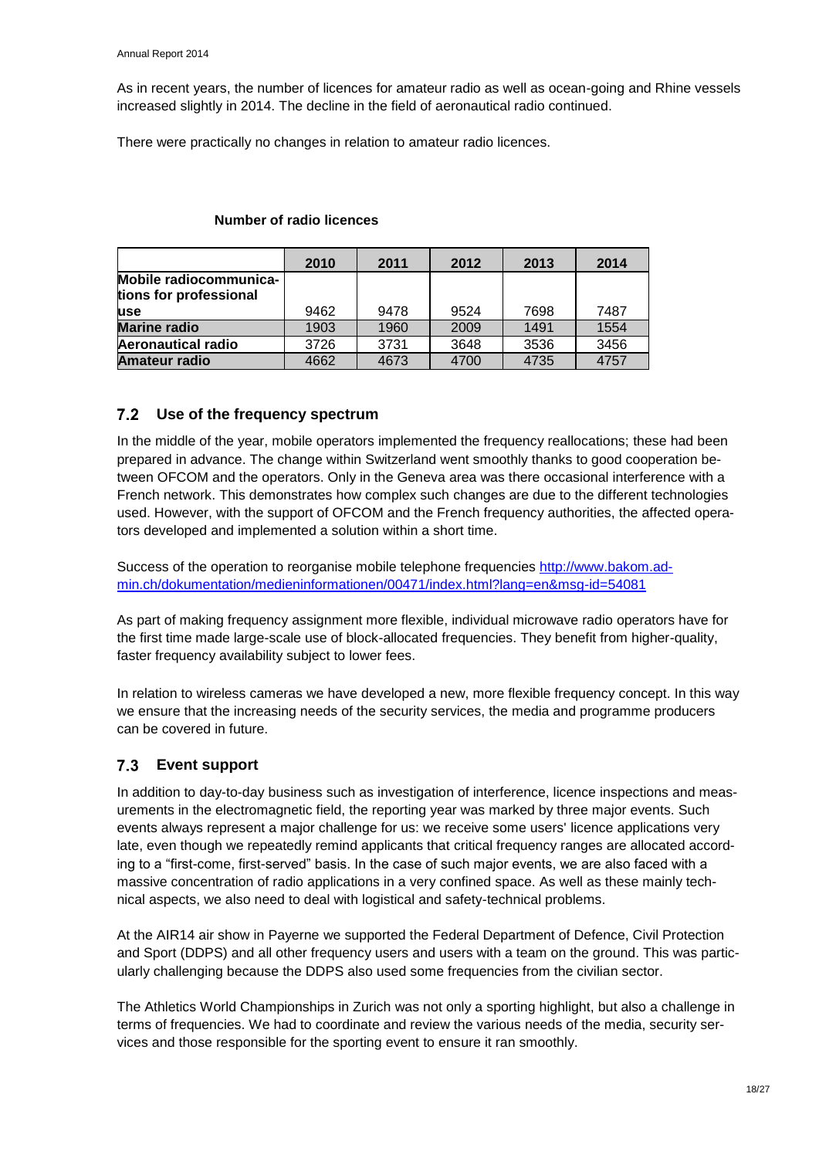As in recent years, the number of licences for amateur radio as well as ocean-going and Rhine vessels increased slightly in 2014. The decline in the field of aeronautical radio continued.

There were practically no changes in relation to amateur radio licences.

|                                                  | 2010 | 2011 | 2012 | 2013 | 2014 |
|--------------------------------------------------|------|------|------|------|------|
| Mobile radiocommunica-<br>tions for professional |      |      |      |      |      |
| luse                                             | 9462 | 9478 | 9524 | 7698 | 7487 |
| <b>Marine radio</b>                              | 1903 | 1960 | 2009 | 1491 | 1554 |
| <b>Aeronautical radio</b>                        | 3726 | 3731 | 3648 | 3536 | 3456 |
| <b>Amateur radio</b>                             | 4662 | 4673 | 4700 | 4735 | 4757 |

### **Number of radio licences**

### <span id="page-20-0"></span>**Use of the frequency spectrum**

In the middle of the year, mobile operators implemented the frequency reallocations; these had been prepared in advance. The change within Switzerland went smoothly thanks to good cooperation between OFCOM and the operators. Only in the Geneva area was there occasional interference with a French network. This demonstrates how complex such changes are due to the different technologies used. However, with the support of OFCOM and the French frequency authorities, the affected operators developed and implemented a solution within a short time.

Success of the operation to reorganise mobile telephone frequencies [http://www.bakom.ad](http://www.bakom.admin.ch/dokumentation/medieninformationen/00471/index.html?lang=en&msg-id=54081)[min.ch/dokumentation/medieninformationen/00471/index.html?lang=en&msg-id=54081](http://www.bakom.admin.ch/dokumentation/medieninformationen/00471/index.html?lang=en&msg-id=54081)

As part of making frequency assignment more flexible, individual microwave radio operators have for the first time made large-scale use of block-allocated frequencies. They benefit from higher-quality, faster frequency availability subject to lower fees.

In relation to wireless cameras we have developed a new, more flexible frequency concept. In this way we ensure that the increasing needs of the security services, the media and programme producers can be covered in future.

### <span id="page-20-1"></span>**Event support**

In addition to day-to-day business such as investigation of interference, licence inspections and measurements in the electromagnetic field, the reporting year was marked by three major events. Such events always represent a major challenge for us: we receive some users' licence applications very late, even though we repeatedly remind applicants that critical frequency ranges are allocated according to a "first-come, first-served" basis. In the case of such major events, we are also faced with a massive concentration of radio applications in a very confined space. As well as these mainly technical aspects, we also need to deal with logistical and safety-technical problems.

At the AIR14 air show in Payerne we supported the Federal Department of Defence, Civil Protection and Sport (DDPS) and all other frequency users and users with a team on the ground. This was particularly challenging because the DDPS also used some frequencies from the civilian sector.

The Athletics World Championships in Zurich was not only a sporting highlight, but also a challenge in terms of frequencies. We had to coordinate and review the various needs of the media, security services and those responsible for the sporting event to ensure it ran smoothly.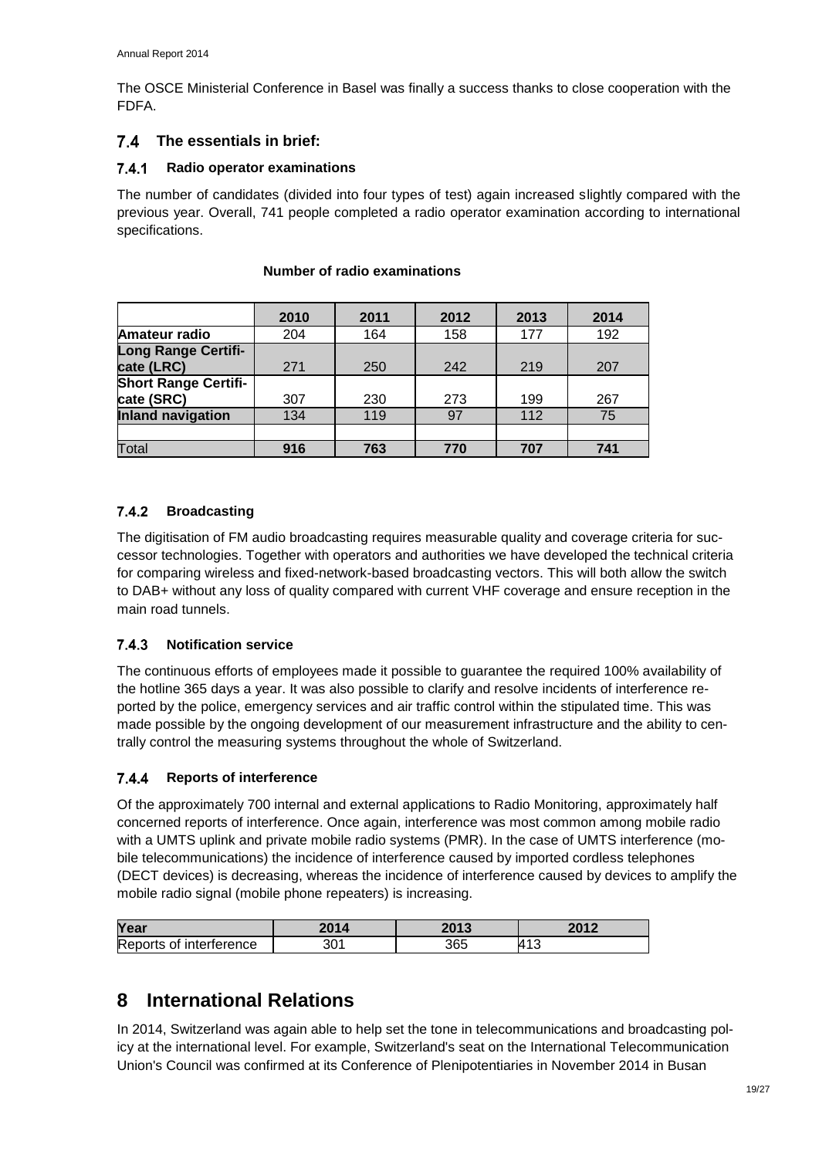The OSCE Ministerial Conference in Basel was finally a success thanks to close cooperation with the FDFA.

### <span id="page-21-0"></span>**The essentials in brief:**

#### <span id="page-21-1"></span> $7.4.1$ **Radio operator examinations**

The number of candidates (divided into four types of test) again increased slightly compared with the previous year. Overall, 741 people completed a radio operator examination according to international specifications.

|                             | 2010 | 2011 | 2012 | 2013 | 2014 |
|-----------------------------|------|------|------|------|------|
| Amateur radio               | 204  | 164  | 158  | 177  | 192  |
| <b>Long Range Certifi-</b>  |      |      |      |      |      |
| cate (LRC)                  | 271  | 250  | 242  | 219  | 207  |
| <b>Short Range Certifi-</b> |      |      |      |      |      |
| cate (SRC)                  | 307  | 230  | 273  | 199  | 267  |
| <b>Inland navigation</b>    | 134  | 119  | 97   | 112  | 75   |
|                             |      |      |      |      |      |
| Total                       | 916  | 763  | 770  | 707  | 741  |

### **Number of radio examinations**

#### <span id="page-21-2"></span> $7.4.2$ **Broadcasting**

The digitisation of FM audio broadcasting requires measurable quality and coverage criteria for successor technologies. Together with operators and authorities we have developed the technical criteria for comparing wireless and fixed-network-based broadcasting vectors. This will both allow the switch to DAB+ without any loss of quality compared with current VHF coverage and ensure reception in the main road tunnels.

#### <span id="page-21-3"></span>7.4.3 **Notification service**

The continuous efforts of employees made it possible to guarantee the required 100% availability of the hotline 365 days a year. It was also possible to clarify and resolve incidents of interference reported by the police, emergency services and air traffic control within the stipulated time. This was made possible by the ongoing development of our measurement infrastructure and the ability to centrally control the measuring systems throughout the whole of Switzerland.

#### <span id="page-21-4"></span> $7.4.4$ **Reports of interference**

Of the approximately 700 internal and external applications to Radio Monitoring, approximately half concerned reports of interference. Once again, interference was most common among mobile radio with a UMTS uplink and private mobile radio systems (PMR). In the case of UMTS interference (mobile telecommunications) the incidence of interference caused by imported cordless telephones (DECT devices) is decreasing, whereas the incidence of interference caused by devices to amplify the mobile radio signal (mobile phone repeaters) is increasing.

| Year                    | 2014      | つのイク<br>19 | 2012       |
|-------------------------|-----------|------------|------------|
| Reports of interference | י∩פ<br>3U | 365        | <b>413</b> |

## <span id="page-21-5"></span>**8 International Relations**

In 2014, Switzerland was again able to help set the tone in telecommunications and broadcasting policy at the international level. For example, Switzerland's seat on the International Telecommunication Union's Council was confirmed at its Conference of Plenipotentiaries in November 2014 in Busan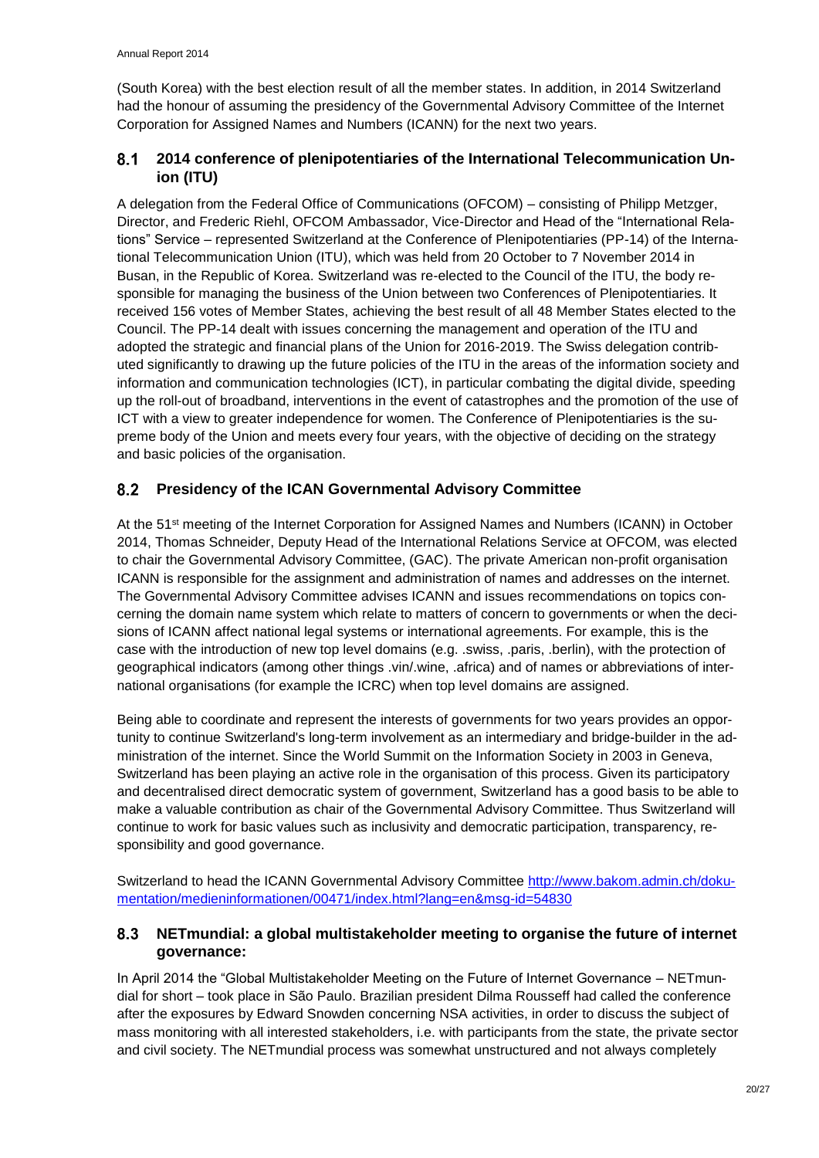(South Korea) with the best election result of all the member states. In addition, in 2014 Switzerland had the honour of assuming the presidency of the Governmental Advisory Committee of the Internet Corporation for Assigned Names and Numbers (ICANN) for the next two years.

#### <span id="page-22-0"></span> $8.1$ **2014 conference of plenipotentiaries of the International Telecommunication Union (ITU)**

A delegation from the Federal Office of Communications (OFCOM) – consisting of Philipp Metzger, Director, and Frederic Riehl, OFCOM Ambassador, Vice-Director and Head of the "International Relations" Service – represented Switzerland at the Conference of Plenipotentiaries (PP-14) of the International Telecommunication Union (ITU), which was held from 20 October to 7 November 2014 in Busan, in the Republic of Korea. Switzerland was re-elected to the Council of the ITU, the body responsible for managing the business of the Union between two Conferences of Plenipotentiaries. It received 156 votes of Member States, achieving the best result of all 48 Member States elected to the Council. The PP-14 dealt with issues concerning the management and operation of the ITU and adopted the strategic and financial plans of the Union for 2016-2019. The Swiss delegation contributed significantly to drawing up the future policies of the ITU in the areas of the information society and information and communication technologies (ICT), in particular combating the digital divide, speeding up the roll-out of broadband, interventions in the event of catastrophes and the promotion of the use of ICT with a view to greater independence for women. The Conference of Plenipotentiaries is the supreme body of the Union and meets every four years, with the objective of deciding on the strategy and basic policies of the organisation.

#### <span id="page-22-1"></span>**Presidency of the ICAN Governmental Advisory Committee**  $8.2$

At the 51<sup>st</sup> meeting of the Internet Corporation for Assigned Names and Numbers (ICANN) in October 2014, Thomas Schneider, Deputy Head of the International Relations Service at OFCOM, was elected to chair the Governmental Advisory Committee, (GAC). The private American non-profit organisation ICANN is responsible for the assignment and administration of names and addresses on the internet. The Governmental Advisory Committee advises ICANN and issues recommendations on topics concerning the domain name system which relate to matters of concern to governments or when the decisions of ICANN affect national legal systems or international agreements. For example, this is the case with the introduction of new top level domains (e.g. .swiss, .paris, .berlin), with the protection of geographical indicators (among other things .vin/.wine, .africa) and of names or abbreviations of international organisations (for example the ICRC) when top level domains are assigned.

Being able to coordinate and represent the interests of governments for two years provides an opportunity to continue Switzerland's long-term involvement as an intermediary and bridge-builder in the administration of the internet. Since the World Summit on the Information Society in 2003 in Geneva, Switzerland has been playing an active role in the organisation of this process. Given its participatory and decentralised direct democratic system of government, Switzerland has a good basis to be able to make a valuable contribution as chair of the Governmental Advisory Committee. Thus Switzerland will continue to work for basic values such as inclusivity and democratic participation, transparency, responsibility and good governance.

Switzerland to head the ICANN Governmental Advisory Committee [http://www.bakom.admin.ch/doku](http://www.bakom.admin.ch/dokumentation/medieninformationen/00471/index.html?lang=en&msg-id=54830)[mentation/medieninformationen/00471/index.html?lang=en&msg-id=54830](http://www.bakom.admin.ch/dokumentation/medieninformationen/00471/index.html?lang=en&msg-id=54830)

#### <span id="page-22-2"></span>8.3 **NETmundial: a global multistakeholder meeting to organise the future of internet governance:**

In April 2014 the "Global Multistakeholder Meeting on the Future of Internet Governance – NETmundial for short – took place in São Paulo. Brazilian president Dilma Rousseff had called the conference after the exposures by Edward Snowden concerning NSA activities, in order to discuss the subject of mass monitoring with all interested stakeholders, i.e. with participants from the state, the private sector and civil society. The NETmundial process was somewhat unstructured and not always completely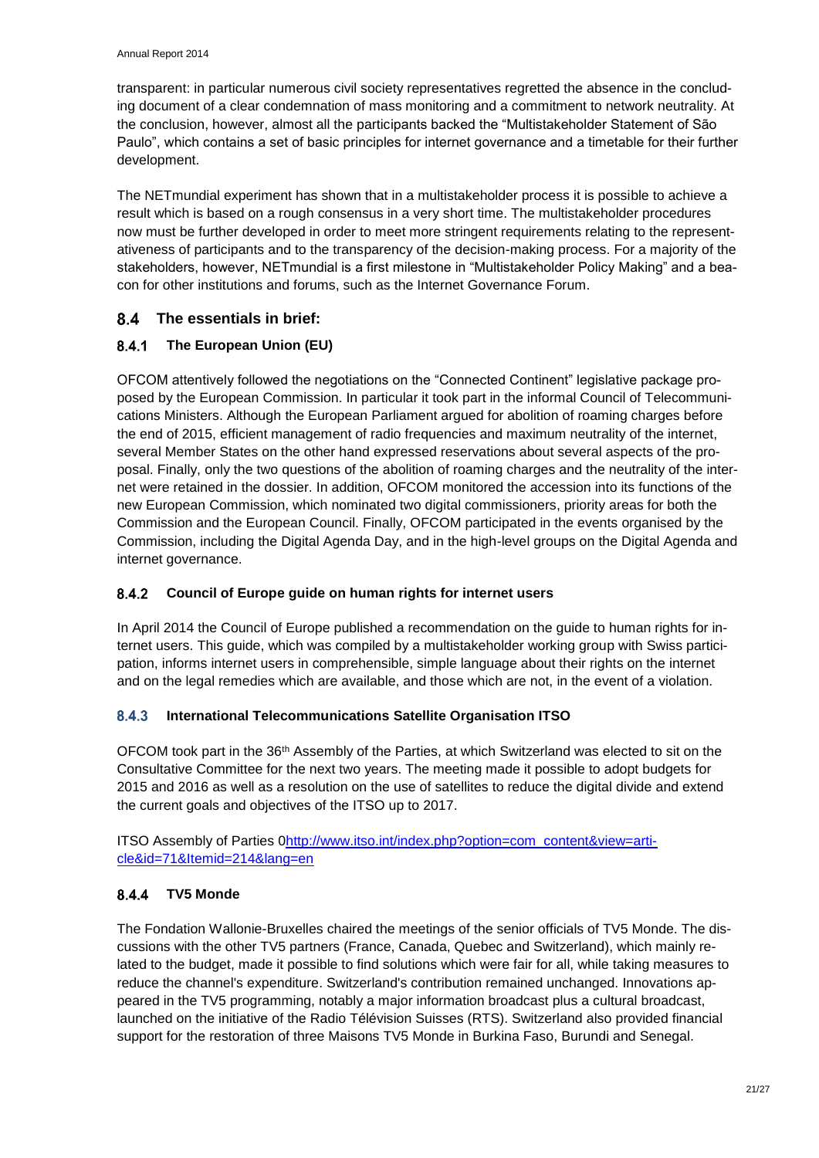transparent: in particular numerous civil society representatives regretted the absence in the concluding document of a clear condemnation of mass monitoring and a commitment to network neutrality. At the conclusion, however, almost all the participants backed the "Multistakeholder Statement of São Paulo", which contains a set of basic principles for internet governance and a timetable for their further development.

The NETmundial experiment has shown that in a multistakeholder process it is possible to achieve a result which is based on a rough consensus in a very short time. The multistakeholder procedures now must be further developed in order to meet more stringent requirements relating to the representativeness of participants and to the transparency of the decision-making process. For a majority of the stakeholders, however, NETmundial is a first milestone in "Multistakeholder Policy Making" and a beacon for other institutions and forums, such as the Internet Governance Forum.

### <span id="page-23-0"></span>**The essentials in brief:**

#### <span id="page-23-1"></span> $8.4.1$ **The European Union (EU)**

OFCOM attentively followed the negotiations on the "Connected Continent" legislative package proposed by the European Commission. In particular it took part in the informal Council of Telecommunications Ministers. Although the European Parliament argued for abolition of roaming charges before the end of 2015, efficient management of radio frequencies and maximum neutrality of the internet, several Member States on the other hand expressed reservations about several aspects of the proposal. Finally, only the two questions of the abolition of roaming charges and the neutrality of the internet were retained in the dossier. In addition, OFCOM monitored the accession into its functions of the new European Commission, which nominated two digital commissioners, priority areas for both the Commission and the European Council. Finally, OFCOM participated in the events organised by the Commission, including the Digital Agenda Day, and in the high-level groups on the Digital Agenda and internet governance.

#### <span id="page-23-2"></span> $8.4.2$ **Council of Europe guide on human rights for internet users**

In April 2014 the Council of Europe published a recommendation on the guide to human rights for internet users. This guide, which was compiled by a multistakeholder working group with Swiss participation, informs internet users in comprehensible, simple language about their rights on the internet and on the legal remedies which are available, and those which are not, in the event of a violation.

#### <span id="page-23-3"></span>8.4.3 **International Telecommunications Satellite Organisation ITSO**

OFCOM took part in the 36<sup>th</sup> Assembly of the Parties, at which Switzerland was elected to sit on the Consultative Committee for the next two years. The meeting made it possible to adopt budgets for 2015 and 2016 as well as a resolution on the use of satellites to reduce the digital divide and extend the current goals and objectives of the ITSO up to 2017.

ITSO Assembly of Parties [0http://www.itso.int/index.php?option=com\\_content&view=arti](http://www.itso.int/index.php?option=com_content&view=article&id=71&Itemid=214&lang=en)[cle&id=71&Itemid=214&lang=en](http://www.itso.int/index.php?option=com_content&view=article&id=71&Itemid=214&lang=en)

### <span id="page-23-4"></span>**TV5 Monde**

The Fondation Wallonie-Bruxelles chaired the meetings of the senior officials of TV5 Monde. The discussions with the other TV5 partners (France, Canada, Quebec and Switzerland), which mainly related to the budget, made it possible to find solutions which were fair for all, while taking measures to reduce the channel's expenditure. Switzerland's contribution remained unchanged. Innovations appeared in the TV5 programming, notably a major information broadcast plus a cultural broadcast, launched on the initiative of the Radio Télévision Suisses (RTS). Switzerland also provided financial support for the restoration of three Maisons TV5 Monde in Burkina Faso, Burundi and Senegal.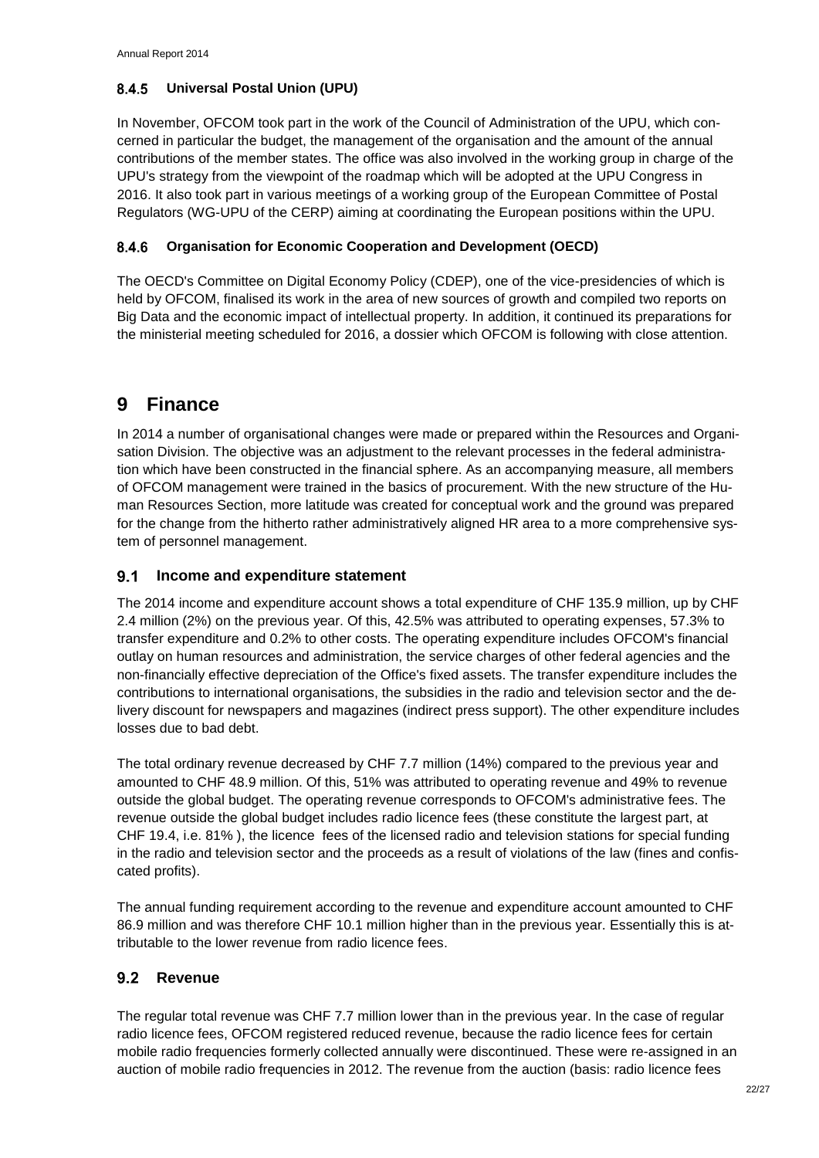#### <span id="page-24-0"></span>8.4.5 **Universal Postal Union (UPU)**

In November, OFCOM took part in the work of the Council of Administration of the UPU, which concerned in particular the budget, the management of the organisation and the amount of the annual contributions of the member states. The office was also involved in the working group in charge of the UPU's strategy from the viewpoint of the roadmap which will be adopted at the UPU Congress in 2016. It also took part in various meetings of a working group of the European Committee of Postal Regulators (WG-UPU of the CERP) aiming at coordinating the European positions within the UPU.

#### <span id="page-24-1"></span>8.4.6 **Organisation for Economic Cooperation and Development (OECD)**

The OECD's Committee on Digital Economy Policy (CDEP), one of the vice-presidencies of which is held by OFCOM, finalised its work in the area of new sources of growth and compiled two reports on Big Data and the economic impact of intellectual property. In addition, it continued its preparations for the ministerial meeting scheduled for 2016, a dossier which OFCOM is following with close attention.

## <span id="page-24-2"></span>**9 Finance**

In 2014 a number of organisational changes were made or prepared within the Resources and Organisation Division. The objective was an adjustment to the relevant processes in the federal administration which have been constructed in the financial sphere. As an accompanying measure, all members of OFCOM management were trained in the basics of procurement. With the new structure of the Human Resources Section, more latitude was created for conceptual work and the ground was prepared for the change from the hitherto rather administratively aligned HR area to a more comprehensive system of personnel management.

### <span id="page-24-3"></span>**Income and expenditure statement**

The 2014 income and expenditure account shows a total expenditure of CHF 135.9 million, up by CHF 2.4 million (2%) on the previous year. Of this, 42.5% was attributed to operating expenses, 57.3% to transfer expenditure and 0.2% to other costs. The operating expenditure includes OFCOM's financial outlay on human resources and administration, the service charges of other federal agencies and the non-financially effective depreciation of the Office's fixed assets. The transfer expenditure includes the contributions to international organisations, the subsidies in the radio and television sector and the delivery discount for newspapers and magazines (indirect press support). The other expenditure includes losses due to bad debt.

The total ordinary revenue decreased by CHF 7.7 million (14%) compared to the previous year and amounted to CHF 48.9 million. Of this, 51% was attributed to operating revenue and 49% to revenue outside the global budget. The operating revenue corresponds to OFCOM's administrative fees. The revenue outside the global budget includes radio licence fees (these constitute the largest part, at CHF 19.4, i.e. 81% ), the licence fees of the licensed radio and television stations for special funding in the radio and television sector and the proceeds as a result of violations of the law (fines and confiscated profits).

The annual funding requirement according to the revenue and expenditure account amounted to CHF 86.9 million and was therefore CHF 10.1 million higher than in the previous year. Essentially this is attributable to the lower revenue from radio licence fees.

### <span id="page-24-4"></span>**Revenue**

The regular total revenue was CHF 7.7 million lower than in the previous year. In the case of regular radio licence fees, OFCOM registered reduced revenue, because the radio licence fees for certain mobile radio frequencies formerly collected annually were discontinued. These were re-assigned in an auction of mobile radio frequencies in 2012. The revenue from the auction (basis: radio licence fees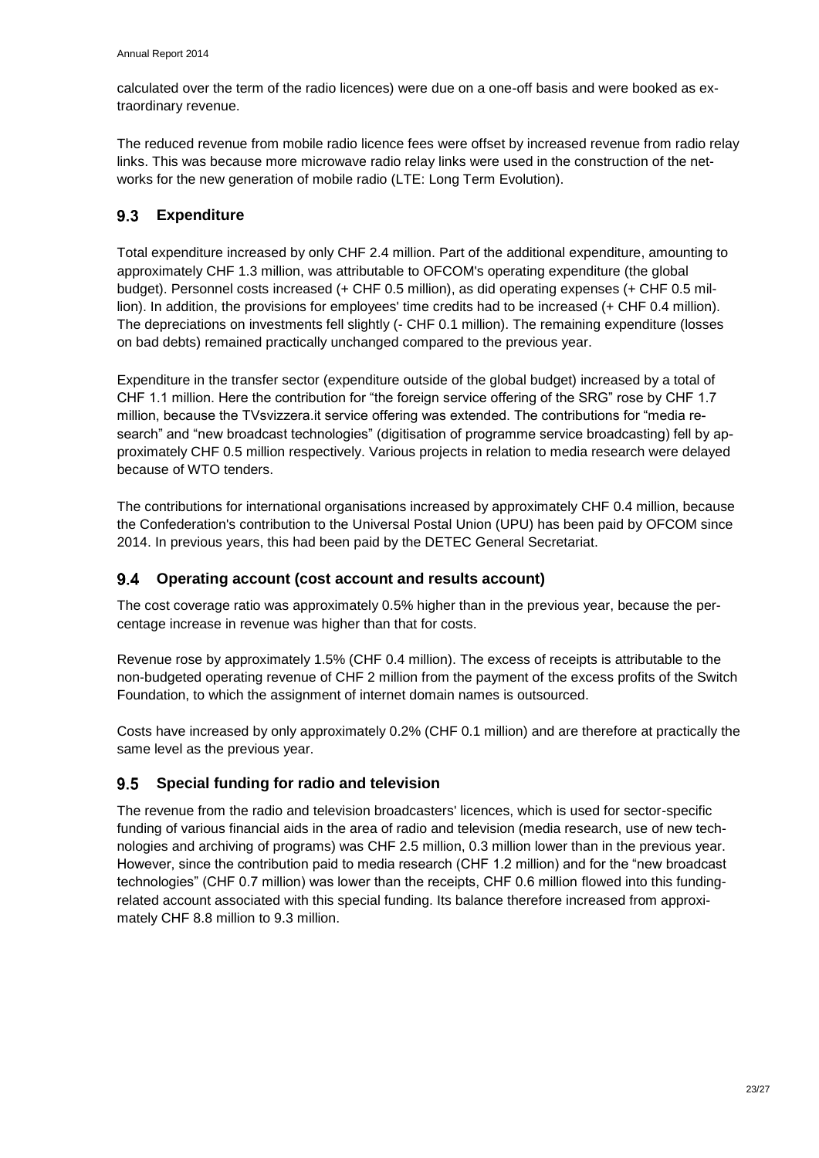calculated over the term of the radio licences) were due on a one-off basis and were booked as extraordinary revenue.

The reduced revenue from mobile radio licence fees were offset by increased revenue from radio relay links. This was because more microwave radio relay links were used in the construction of the networks for the new generation of mobile radio (LTE: Long Term Evolution).

#### <span id="page-25-0"></span> $9.3$ **Expenditure**

Total expenditure increased by only CHF 2.4 million. Part of the additional expenditure, amounting to approximately CHF 1.3 million, was attributable to OFCOM's operating expenditure (the global budget). Personnel costs increased (+ CHF 0.5 million), as did operating expenses (+ CHF 0.5 million). In addition, the provisions for employees' time credits had to be increased (+ CHF 0.4 million). The depreciations on investments fell slightly (- CHF 0.1 million). The remaining expenditure (losses on bad debts) remained practically unchanged compared to the previous year.

Expenditure in the transfer sector (expenditure outside of the global budget) increased by a total of CHF 1.1 million. Here the contribution for "the foreign service offering of the SRG" rose by CHF 1.7 million, because the TVsvizzera.it service offering was extended. The contributions for "media research" and "new broadcast technologies" (digitisation of programme service broadcasting) fell by approximately CHF 0.5 million respectively. Various projects in relation to media research were delayed because of WTO tenders.

The contributions for international organisations increased by approximately CHF 0.4 million, because the Confederation's contribution to the Universal Postal Union (UPU) has been paid by OFCOM since 2014. In previous years, this had been paid by the DETEC General Secretariat.

### <span id="page-25-1"></span>**Operating account (cost account and results account)**

The cost coverage ratio was approximately 0.5% higher than in the previous year, because the percentage increase in revenue was higher than that for costs.

Revenue rose by approximately 1.5% (CHF 0.4 million). The excess of receipts is attributable to the non-budgeted operating revenue of CHF 2 million from the payment of the excess profits of the Switch Foundation, to which the assignment of internet domain names is outsourced.

Costs have increased by only approximately 0.2% (CHF 0.1 million) and are therefore at practically the same level as the previous year.

#### <span id="page-25-2"></span>**Special funding for radio and television**  $9.5$

The revenue from the radio and television broadcasters' licences, which is used for sector-specific funding of various financial aids in the area of radio and television (media research, use of new technologies and archiving of programs) was CHF 2.5 million, 0.3 million lower than in the previous year. However, since the contribution paid to media research (CHF 1.2 million) and for the "new broadcast technologies" (CHF 0.7 million) was lower than the receipts, CHF 0.6 million flowed into this fundingrelated account associated with this special funding. Its balance therefore increased from approximately CHF 8.8 million to 9.3 million.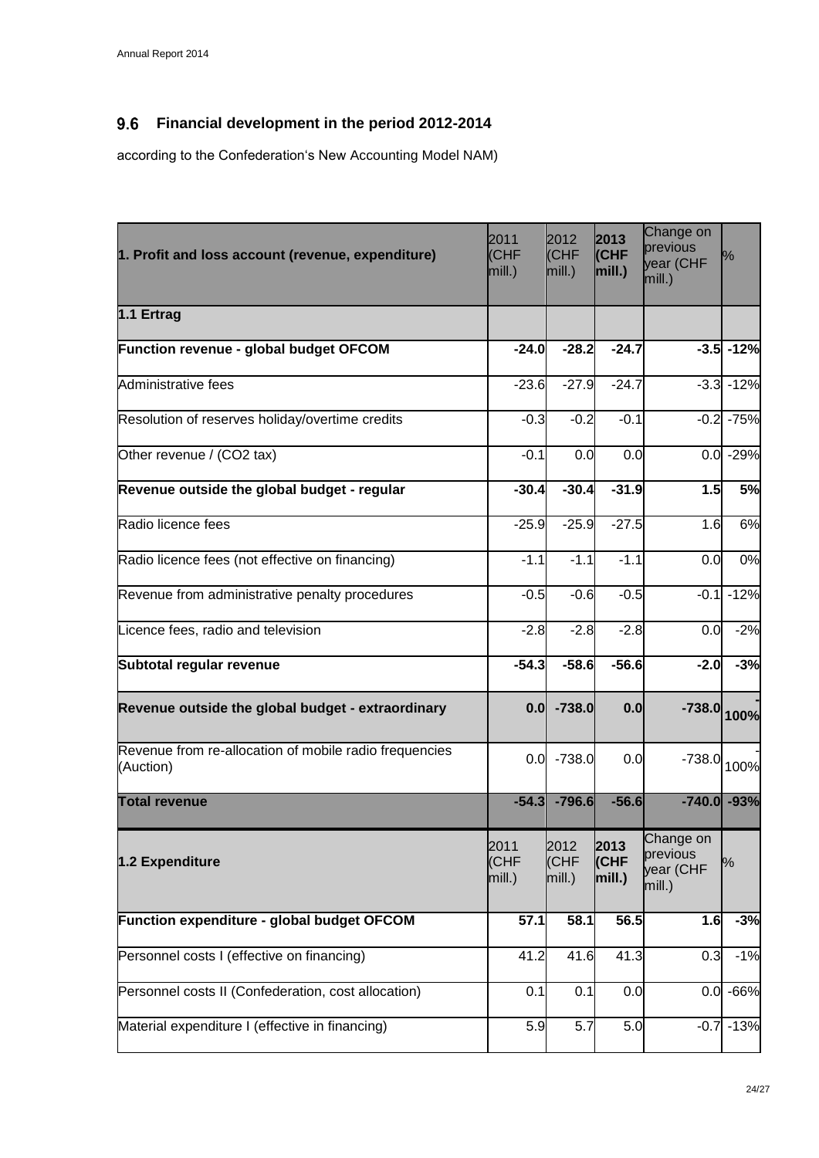#### <span id="page-26-0"></span> $9.6$ **Financial development in the period 2012-2014**

according to the Confederation's New Accounting Model NAM)

| 2011<br>1. Profit and loss account (revenue, expenditure)<br>(CHF<br>mill.) |                        | 2012<br>(CHF<br>mill.) | 2013<br>(CHF<br>mill. $)$  | Change on<br>previous<br>year (CHF<br>mill.) | ℅            |
|-----------------------------------------------------------------------------|------------------------|------------------------|----------------------------|----------------------------------------------|--------------|
| 1.1 Ertrag                                                                  |                        |                        |                            |                                              |              |
| Function revenue - global budget OFCOM                                      | $-24.0$                | $-28.2$                | $-24.7$                    |                                              | $-3.5 - 12%$ |
| Administrative fees                                                         | $-23.6$                | $-27.9$                | $-24.7$                    |                                              | $-3.3 - 12%$ |
| Resolution of reserves holiday/overtime credits                             | $-0.3$                 | $-0.2$                 | $-0.1$                     |                                              | $-0.2 - 75%$ |
| Other revenue / (CO2 tax)                                                   | $-0.1$                 | 0.0                    | 0.0                        |                                              | $0.0 - 29%$  |
| Revenue outside the global budget - regular                                 | $-30.4$                | $-30.4$                | $-31.9$                    | 1.5                                          | 5%           |
| Radio licence fees                                                          | $-25.9$                | $-25.9$                | $-27.5$                    | 1.6                                          | 6%           |
| Radio licence fees (not effective on financing)                             | $-1.1$                 | $-1.1$                 | $-1.1$                     | 0.0                                          | 0%           |
| Revenue from administrative penalty procedures                              | $-0.5$                 | $-0.6$                 | $-0.5$                     | $-0.1$                                       | $-12%$       |
| Licence fees, radio and television                                          | $-2.8$                 | $-2.8$                 | $-2.8$                     | 0.0                                          | $-2%$        |
| Subtotal regular revenue                                                    | $-54.3$                | $-58.6$                | $-56.6$                    | $-2.0$                                       | $-3%$        |
| Revenue outside the global budget - extraordinary                           |                        | $0.0$ -738.0           | 0.0                        | $-738.0$ 100%                                |              |
| Revenue from re-allocation of mobile radio frequencies<br>(Auction)         | 0.0                    | $-738.0$               | 0.0                        | $-738.0$                                     | 100%         |
| <b>Total revenue</b>                                                        | $-54.3$                | $-796.6$               | $-56.6$                    | $-740.0$ $-93%$                              |              |
| 1.2 Expenditure                                                             | 2011<br>(CHF<br>mill.) | 2012<br>(CHF<br>mill.) | 2013<br>(CHF<br>$ mill.$ ) | Change on<br>previous<br>year (CHF<br>mill.) | %            |
| Function expenditure - global budget OFCOM                                  | 57.1                   | 58.1                   | 56.5                       | 1.6                                          | $-3%$        |
| Personnel costs I (effective on financing)                                  | 41.2                   | 41.6                   | 41.3                       | 0.3                                          | $-1%$        |
| Personnel costs II (Confederation, cost allocation)                         | 0.1                    | 0.1                    | 0.0                        |                                              | $0.0 - 66%$  |
| Material expenditure I (effective in financing)                             | 5.9                    | 5.7                    | 5.0                        |                                              | $-0.7 - 13%$ |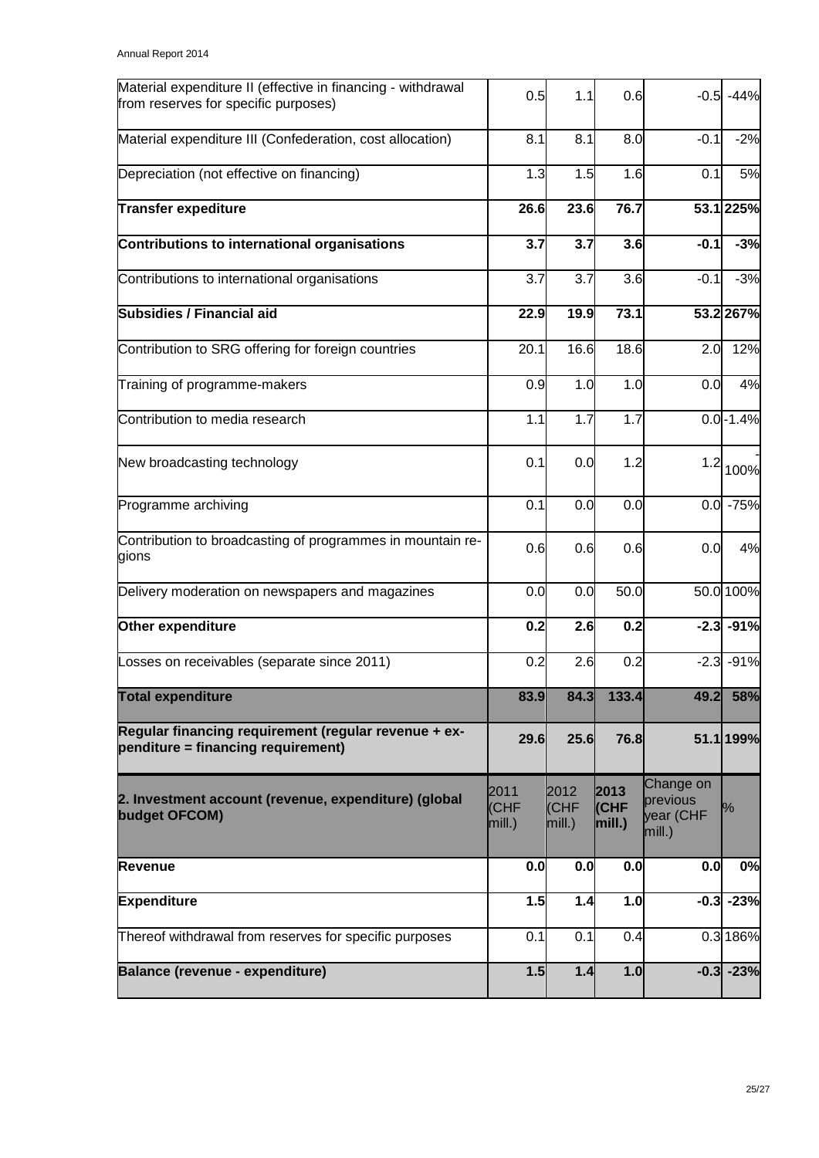| Material expenditure II (effective in financing - withdrawal<br>from reserves for specific purposes) | 0.5                    | 1.1                          | 0.6                    | $-0.5$                                       | $-44%$       |
|------------------------------------------------------------------------------------------------------|------------------------|------------------------------|------------------------|----------------------------------------------|--------------|
| Material expenditure III (Confederation, cost allocation)                                            | 8.1                    | 8.1                          | 8.0                    | $-0.1$                                       | $-2%$        |
| Depreciation (not effective on financing)                                                            | 1.3                    | 1.5                          | 1.6                    | 0.1                                          | 5%           |
| <b>Transfer expediture</b>                                                                           | 26.6                   | 23.6                         | 76.7                   |                                              | 53.1 225%    |
| Contributions to international organisations                                                         | 3.7                    | 3.7                          | 3.6                    | $-0.1$                                       | $-3%$        |
| Contributions to international organisations                                                         | 3.7                    | 3.7                          | 3.6                    | $-0.1$                                       | $-3%$        |
| <b>Subsidies / Financial aid</b>                                                                     | 22.9                   | 19.9                         | 73.1                   |                                              | 53.2 267%    |
| Contribution to SRG offering for foreign countries                                                   | 20.1                   | 16.6                         | 18.6                   | 2.0                                          | 12%          |
| Training of programme-makers                                                                         | 0.9                    | 1.0                          | 1.0                    | 0.0                                          | 4%           |
| Contribution to media research                                                                       | 1.1                    | 1.7                          | 1.7                    |                                              | $0.0 - 1.4%$ |
| New broadcasting technology                                                                          | 0.1                    | 0.0                          | 1.2                    | 1.2                                          | 100%         |
| Programme archiving                                                                                  | 0.1                    | 0.0                          | 0.0                    |                                              | $0.0 - 75%$  |
| Contribution to broadcasting of programmes in mountain re-<br>gions                                  | 0.6                    | 0.6                          | 0.6                    | 0.0                                          | 4%           |
| Delivery moderation on newspapers and magazines                                                      | 0.0                    | 0.0                          | 50.0                   |                                              | 50.0 100%    |
| Other expenditure                                                                                    | 0.2                    | 2.6                          | 0.2                    | $-2.3$                                       | $-91%$       |
| Losses on receivables (separate since 2011)                                                          | 0.2                    | 2.6                          | 0.2                    |                                              | $-2.3 - 91%$ |
| <b>Total expenditure</b>                                                                             | 83.9                   | 84.3                         | 133.4                  | 49.2                                         | 58%          |
| Regular financing requirement (regular revenue + ex-<br>penditure = financing requirement)           | 29.6                   | 25.6                         | 76.8                   |                                              | 51.1 199%    |
| 2. Investment account (revenue, expenditure) (global<br>budget OFCOM)                                | 2011<br>(CHF<br>mill.) | 2012<br><b>CHF</b><br>mill.) | 2013<br>(CHF<br>mill.) | Change on<br>previous<br>year (CHF<br>mill.) | l%           |
| Revenue                                                                                              | 0.0                    | 0.0                          | 0.0                    | 0.0                                          | 0%           |
| <b>Expenditure</b>                                                                                   | 1.5                    | 1.4                          | 1.0                    | $-0.3$                                       | $-23%$       |
| Thereof withdrawal from reserves for specific purposes                                               | 0.1                    | 0.1                          | 0.4                    |                                              | 0.3 186%     |
| Balance (revenue - expenditure)                                                                      | 1.5                    | 1.4                          | 1.0                    |                                              | $-0.3 - 23%$ |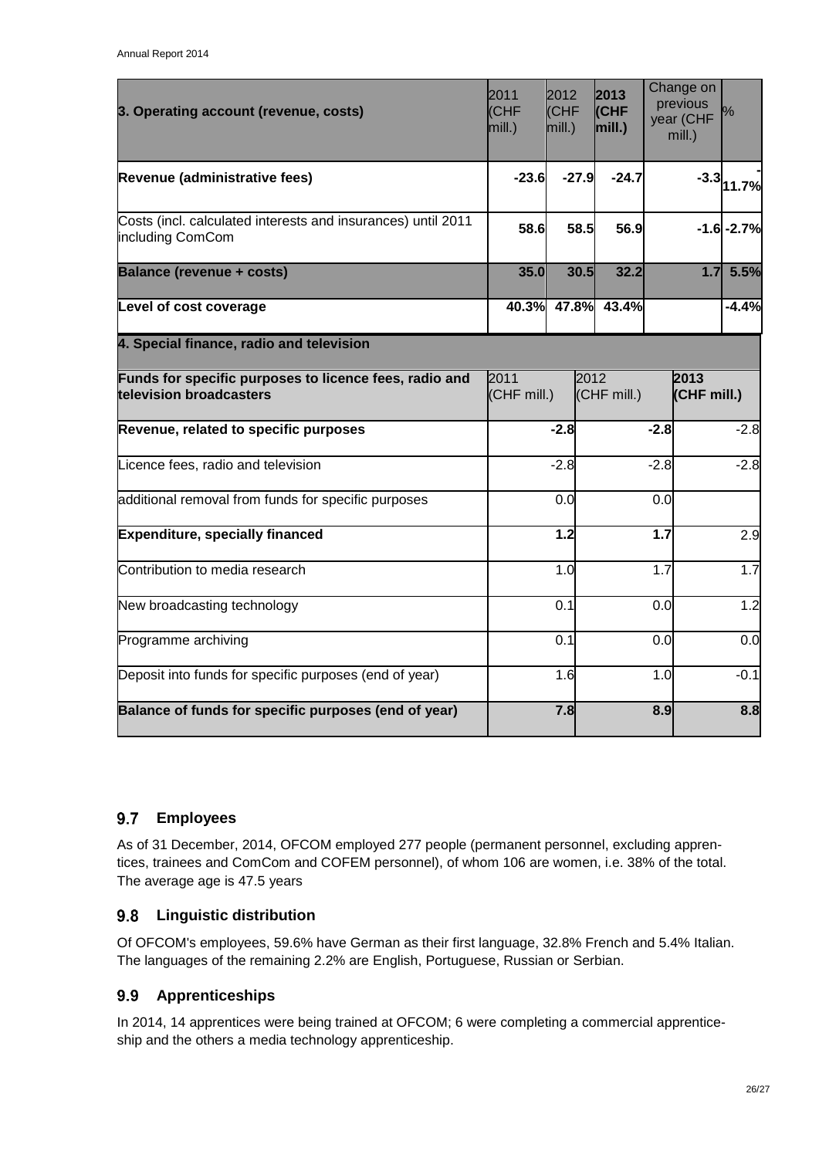| 3. Operating account (revenue, costs)                                             | 2011<br>(CHF<br>mill.) | 2012<br><b>CHF</b><br>mill.) | 2013<br>(CHF<br>mill.) |        | Change on<br>previous<br>year (CHF<br>mill.) | l%            |
|-----------------------------------------------------------------------------------|------------------------|------------------------------|------------------------|--------|----------------------------------------------|---------------|
| Revenue (administrative fees)                                                     | $-23.6$                | $-27.9$                      | $-24.7$                |        |                                              | $-3.3 $ 11.7% |
| Costs (incl. calculated interests and insurances) until 2011<br>including ComCom  | 58.6                   | 58.5                         | 56.9                   |        |                                              | $-1.6 - 2.7%$ |
| <b>Balance (revenue + costs)</b>                                                  | 35.0                   | 30.5                         | 32.2                   |        | 1.7                                          | 5.5%          |
| Level of cost coverage                                                            |                        | 40.3% 47.8%                  | 43.4%                  |        |                                              | $-4.4%$       |
| 4. Special finance, radio and television                                          |                        |                              |                        |        |                                              |               |
| Funds for specific purposes to licence fees, radio and<br>television broadcasters | 2011<br>(CHF mill.)    | 2012                         | (CHF mill.)            |        | 2013<br>(CHF mill.)                          |               |
| Revenue, related to specific purposes                                             |                        | $-2.8$                       |                        | $-2.8$ |                                              | $-2.8$        |
| Licence fees, radio and television                                                |                        | $-2.8$                       |                        | $-2.8$ |                                              | $-2.8$        |
| additional removal from funds for specific purposes                               |                        | 0.0                          |                        | 0.0    |                                              |               |
| <b>Expenditure, specially financed</b>                                            |                        | 1.2                          |                        | 1.7    |                                              | 2.9           |
| Contribution to media research                                                    |                        | 1.0                          |                        | 1.7    |                                              | 1.7           |
| New broadcasting technology                                                       |                        | 0.1                          |                        | 0.0    |                                              | 1.2           |
| Programme archiving                                                               |                        | 0.1                          |                        | 0.0    |                                              | 0.0           |
| Deposit into funds for specific purposes (end of year)                            |                        | 1.6                          |                        | 1.0    |                                              | $-0.1$        |
| Balance of funds for specific purposes (end of year)                              |                        | 7.8                          |                        | 8.9    |                                              | 8.8           |

#### <span id="page-28-0"></span> $9.7$ **Employees**

As of 31 December, 2014, OFCOM employed 277 people (permanent personnel, excluding apprentices, trainees and ComCom and COFEM personnel), of whom 106 are women, i.e. 38% of the total. The average age is 47.5 years

### <span id="page-28-1"></span>**Linguistic distribution**

Of OFCOM's employees, 59.6% have German as their first language, 32.8% French and 5.4% Italian. The languages of the remaining 2.2% are English, Portuguese, Russian or Serbian.

#### <span id="page-28-2"></span>**Apprenticeships** 9.9

In 2014, 14 apprentices were being trained at OFCOM; 6 were completing a commercial apprenticeship and the others a media technology apprenticeship.